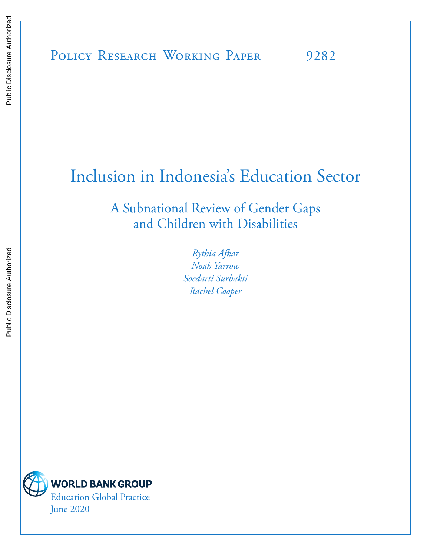# Inclusion in Indonesia's Education Sector

A Subnational Review of Gender Gaps and Children with Disabilities

> *Rythia Afkar Noah Yarrow Soedarti Surbakti Rachel Cooper*

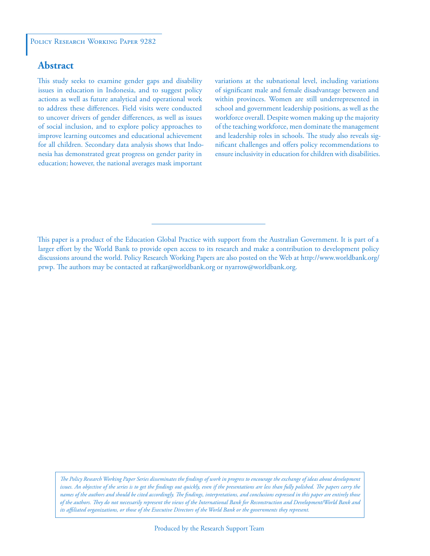### **Abstract**

This study seeks to examine gender gaps and disability issues in education in Indonesia, and to suggest policy actions as well as future analytical and operational work to address these differences. Field visits were conducted to uncover drivers of gender differences, as well as issues of social inclusion, and to explore policy approaches to improve learning outcomes and educational achievement for all children. Secondary data analysis shows that Indonesia has demonstrated great progress on gender parity in education; however, the national averages mask important

variations at the subnational level, including variations of significant male and female disadvantage between and within provinces. Women are still underrepresented in school and government leadership positions, as well as the workforce overall. Despite women making up the majority of the teaching workforce, men dominate the management and leadership roles in schools. The study also reveals significant challenges and offers policy recommendations to ensure inclusivity in education for children with disabilities.

This paper is a product of the Education Global Practice with support from the Australian Government. It is part of a larger effort by the World Bank to provide open access to its research and make a contribution to development policy discussions around the world. Policy Research Working Papers are also posted on the Web at http://www.worldbank.org/ prwp. The authors may be contacted at rafkar@worldbank.org or nyarrow@worldbank.org.

*The Policy Research Working Paper Series disseminates the findings of work in progress to encourage the exchange of ideas about development*  issues. An objective of the series is to get the findings out quickly, even if the presentations are less than fully polished. The papers carry the *names of the authors and should be cited accordingly. The findings, interpretations, and conclusions expressed in this paper are entirely those of the authors. They do not necessarily represent the views of the International Bank for Reconstruction and Development/World Bank and its affiliated organizations, or those of the Executive Directors of the World Bank or the governments they represent.*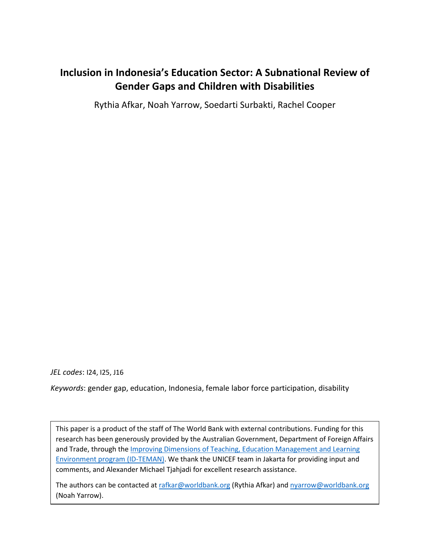# **Inclusion in Indonesia's Education Sector: A Subnational Review of Gender Gaps and Children with Disabilities**

Rythia Afkar, Noah Yarrow, Soedarti Surbakti, Rachel Cooper

*JEL codes*: I24, I25, J16

*Keywords*: gender gap, education, Indonesia, female labor force participation, disability

This paper is a product of the staff of The World Bank with external contributions. Funding for this research has been generously provided by the Australian Government, Department of Foreign Affairs and Trade, through the **Improving Dimensions of Teaching, Education Management and Learning** [Environment program](https://www.worldbank.org/en/country/indonesia/brief/improving-teaching-and-learning-in-indonesia) (ID-TEMAN). We thank the UNICEF team in Jakarta for providing input and comments, and Alexander Michael Tjahjadi for excellent research assistance.

The authors can be contacted at [rafkar@worldbank.org](mailto:rafkar@worldbank.org) (Rythia Afkar) and [nyarrow@worldbank.org](mailto:nyarrow@worldbank.org) (Noah Yarrow).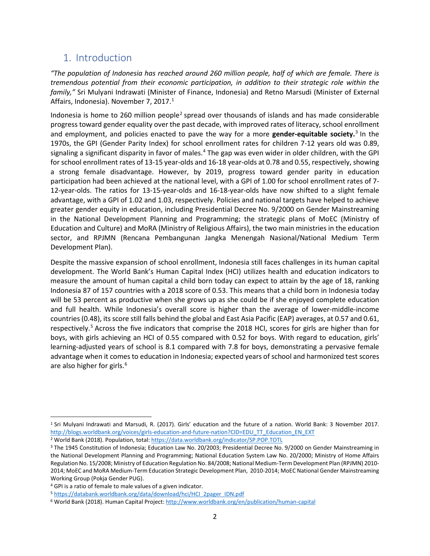# 1. Introduction

*"The population of Indonesia has reached around 260 million people, half of which are female. There is tremendous potential from their economic participation, in addition to their strategic role within the family,"* Sri Mulyani Indrawati (Minister of Finance, Indonesia) and Retno Marsudi (Minister of External Affairs, Indonesia). November 7, 20[1](#page-3-0)7.<sup>1</sup>

Indonesia is home to [2](#page-3-1)60 million people<sup>2</sup> spread over thousands of islands and has made considerable progress toward gender equality over the past decade, with improved rates of literacy, school enrollment and employment, and policies enacted to pave the way for a more **gender-equitable society.** [3](#page-3-2) In the 1970s, the GPI (Gender Parity Index) for school enrollment rates for children 7-12 years old was 0.89, signaling a significant disparity in favor of males.<sup>[4](#page-3-3)</sup> The gap was even wider in older children, with the GPI for school enrollment rates of 13-15 year-olds and 16-18 year-olds at 0.78 and 0.55, respectively, showing a strong female disadvantage. However, by 2019, progress toward gender parity in education participation had been achieved at the national level, with a GPI of 1.00 for school enrollment rates of 7- 12-year-olds. The ratios for 13-15-year-olds and 16-18-year-olds have now shifted to a slight female advantage, with a GPI of 1.02 and 1.03, respectively. Policies and national targets have helped to achieve greater gender equity in education, including Presidential Decree No. 9/2000 on Gender Mainstreaming in the National Development Planning and Programming; the strategic plans of MoEC (Ministry of Education and Culture) and MoRA (Ministry of Religious Affairs), the two main ministries in the education sector, and RPJMN (Rencana Pembangunan Jangka Menengah Nasional/National Medium Term Development Plan).

Despite the massive expansion of school enrollment, Indonesia still faces challenges in its human capital development. The World Bank's Human Capital Index (HCI) utilizes health and education indicators to measure the amount of human capital a child born today can expect to attain by the age of 18, ranking Indonesia 87 of 157 countries with a 2018 score of 0.53. This means that a child born in Indonesia today will be 53 percent as productive when she grows up as she could be if she enjoyed complete education and full health. While Indonesia's overall score is higher than the average of lower-middle-income countries (0.48), its score still falls behind the global and East Asia Pacific (EAP) averages, at 0.57 and 0.61, respectively.<sup>[5](#page-3-4)</sup> Across the five indicators that comprise the 2018 HCI, scores for girls are higher than for boys, with girls achieving an HCI of 0.55 compared with 0.52 for boys. With regard to education, girls' learning-adjusted years of school is 8.1 compared with 7.8 for boys, demonstrating a pervasive female advantage when it comes to education in Indonesia; expected years of school and harmonized test scores are also higher for girls.<sup>[6](#page-3-5)</sup>

<span id="page-3-0"></span><sup>1</sup> Sri Mulyani Indrawati and Marsudi, R. (2017). Girls' education and the future of a nation. World Bank: 3 November 2017. [http://blogs.worldbank.org/voices/girls-education-and-future-nation?CID=EDU\\_TT\\_Education\\_EN\\_EXT](http://blogs.worldbank.org/voices/girls-education-and-future-nation?CID=EDU_TT_Education_EN_EXT)

<span id="page-3-1"></span><sup>&</sup>lt;sup>2</sup> World Bank (2018). Population, total[: https://data.worldbank.org/indicator/SP.POP.TOTL](https://data.worldbank.org/indicator/SP.POP.TOTL)

<span id="page-3-2"></span><sup>3</sup> The 1945 Constitution of Indonesia; Education Law No. 20/2003; Presidential Decree No. 9/2000 on Gender Mainstreaming in the National Development Planning and Programming; National Education System Law No. 20/2000; Ministry of Home Affairs Regulation No. 15/2008; Ministry of Education Regulation No. 84/2008; National Medium-Term Development Plan (RPJMN) 2010- 2014; MoEC and MoRA Medium-Term Education Strategic Development Plan, 2010-2014; MoEC National Gender Mainstreaming Working Group (Pokja Gender PUG).<br><sup>4</sup> GPI is a ratio of female to male values of a given indicator.

<span id="page-3-3"></span>

<span id="page-3-4"></span><sup>5</sup> [https://databank.worldbank.org/data/download/hci/HCI\\_2pager\\_IDN.pdf](https://databank.worldbank.org/data/download/hci/HCI_2pager_IDN.pdf)

<span id="page-3-5"></span><sup>6</sup> World Bank (2018). Human Capital Project[: http://www.worldbank.org/en/publication/human-capital](http://www.worldbank.org/en/publication/human-capital)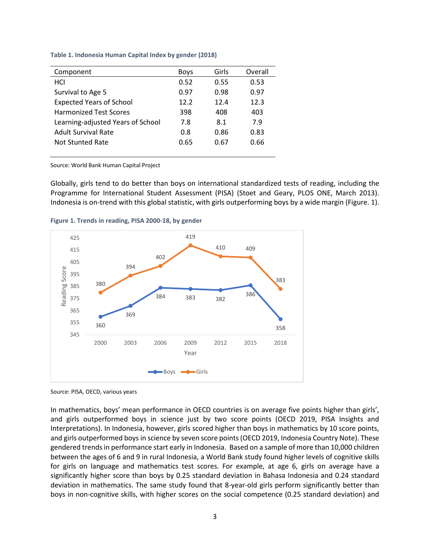| Component                         | <b>Boys</b> | Girls | Overall |
|-----------------------------------|-------------|-------|---------|
| HCI                               | 0.52        | 0.55  | 0.53    |
| Survival to Age 5                 | 0.97        | 0.98  | 0.97    |
| <b>Expected Years of School</b>   | 12.2        | 12.4  | 12.3    |
| <b>Harmonized Test Scores</b>     | 398         | 408   | 403     |
| Learning-adjusted Years of School | 7.8         | 8.1   | 7.9     |
| <b>Adult Survival Rate</b>        | 0.8         | 0.86  | 0.83    |
| Not Stunted Rate                  | 0.65        | 0.67  | 0.66    |
|                                   |             |       |         |

**Table 1. Indonesia Human Capital Index by gender (2018)**

Source: World Bank Human Capital Project

Globally, girls tend to do better than boys on international standardized tests of reading, including the Programme for International Student Assessment (PISA) (Stoet and Geary, PLOS ONE, March 2013). Indonesia is on-trend with this global statistic, with girls outperforming boys by a wide margin (Figure. 1).



**Figure 1. Trends in reading, PISA 2000-18, by gender**

Source: PISA, OECD, various years

In mathematics, boys' mean performance in OECD countries is on average five points higher than girls', and girls outperformed boys in science just by two score points (OECD 2019, PISA Insights and Interpretations). In Indonesia, however, girls scored higher than boys in mathematics by 10 score points, and girls outperformed boys in science by seven score points (OECD 2019, Indonesia Country Note). These gendered trendsin performance start early in Indonesia. Based on a sample of more than 10,000 children between the ages of 6 and 9 in rural Indonesia, a World Bank study found higher levels of cognitive skills for girls on language and mathematics test scores. For example, at age 6, girls on average have a significantly higher score than boys by 0.25 standard deviation in Bahasa Indonesia and 0.24 standard deviation in mathematics. The same study found that 8-year-old girls perform significantly better than boys in non-cognitive skills, with higher scores on the social competence (0.25 standard deviation) and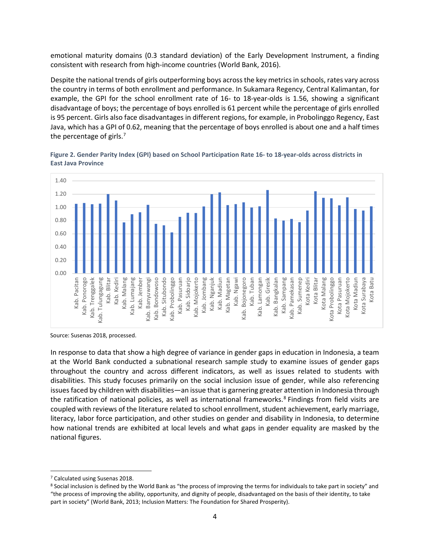emotional maturity domains (0.3 standard deviation) of the Early Development Instrument, a finding consistent with research from high-income countries (World Bank, 2016).

Despite the national trends of girls outperforming boys across the key metrics in schools, rates vary across the country in terms of both enrollment and performance. In Sukamara Regency, Central Kalimantan, for example, the GPI for the school enrollment rate of 16- to 18-year-olds is 1.56, showing a significant disadvantage of boys; the percentage of boys enrolled is 61 percent while the percentage of girls enrolled is 95 percent. Girls also face disadvantages in different regions, for example, in Probolinggo Regency, East Java, which has a GPI of 0.62, meaning that the percentage of boys enrolled is about one and a half times the percentage of girls.<sup>[7](#page-5-0)</sup>



**Figure 2. Gender Parity Index (GPI) based on School Participation Rate 16- to 18-year-olds across districts in East Java Province** 

Source: Susenas 2018, processed.

In response to data that show a high degree of variance in gender gaps in education in Indonesia, a team at the World Bank conducted a subnational research sample study to examine issues of gender gaps throughout the country and across different indicators, as well as issues related to students with disabilities. This study focuses primarily on the social inclusion issue of gender, while also referencing issues faced by children with disabilities—an issue that is garnering greater attention in Indonesia through the ratification of national policies, as well as international frameworks. [8](#page-5-1) Findings from field visits are coupled with reviews of the literature related to school enrollment, student achievement, early marriage, literacy, labor force participation, and other studies on gender and disability in Indonesia, to determine how national trends are exhibited at local levels and what gaps in gender equality are masked by the national figures.

<span id="page-5-0"></span><sup>7</sup> Calculated using Susenas 2018.

<span id="page-5-1"></span><sup>8</sup> Social inclusion is defined by the World Bank as "the process of improving the terms for individuals to take part in society" and "the process of improving the ability, opportunity, and dignity of people, disadvantaged on the basis of their identity, to take part in society" (World Bank, 2013; Inclusion Matters: The Foundation for Shared Prosperity).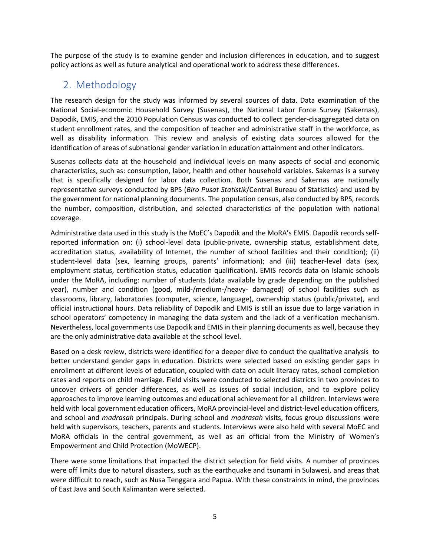The purpose of the study is to examine gender and inclusion differences in education, and to suggest policy actions as well as future analytical and operational work to address these differences.

# 2. Methodology

The research design for the study was informed by several sources of data. Data examination of the National Social-economic Household Survey (Susenas), the National Labor Force Survey (Sakernas), Dapodik, EMIS, and the 2010 Population Census was conducted to collect gender-disaggregated data on student enrollment rates, and the composition of teacher and administrative staff in the workforce, as well as disability information. This review and analysis of existing data sources allowed for the identification of areas of subnational gender variation in education attainment and other indicators.

Susenas collects data at the household and individual levels on many aspects of social and economic characteristics, such as: consumption, labor, health and other household variables. Sakernas is a survey that is specifically designed for labor data collection. Both Susenas and Sakernas are nationally representative surveys conducted by BPS (*Biro Pusat Statistik*/Central Bureau of Statistics) and used by the government for national planning documents. The population census, also conducted by BPS, records the number, composition, distribution, and selected characteristics of the population with national coverage.

Administrative data used in this study is the MoEC's Dapodik and the MoRA's EMIS. Dapodik records selfreported information on: (i) school-level data (public-private, ownership status, establishment date, accreditation status, availability of Internet, the number of school facilities and their condition); (ii) student-level data (sex, learning groups, parents' information); and (iii) teacher-level data (sex, employment status, certification status, education qualification). EMIS records data on Islamic schools under the MoRA, including: number of students (data available by grade depending on the published year), number and condition (good, mild-/medium-/heavy- damaged) of school facilities such as classrooms, library, laboratories (computer, science, language), ownership status (public/private), and official instructional hours. Data reliability of Dapodik and EMIS is still an issue due to large variation in school operators' competency in managing the data system and the lack of a verification mechanism. Nevertheless, local governments use Dapodik and EMIS in their planning documents as well, because they are the only administrative data available at the school level.

Based on a desk review, districts were identified for a deeper dive to conduct the qualitative analysis to better understand gender gaps in education. Districts were selected based on existing gender gaps in enrollment at different levels of education, coupled with data on adult literacy rates, school completion rates and reports on child marriage. Field visits were conducted to selected districts in two provinces to uncover drivers of gender differences, as well as issues of social inclusion, and to explore policy approaches to improve learning outcomes and educational achievement for all children. Interviews were held with local government education officers, MoRA provincial-level and district-level education officers, and school and *madrasah* principals. During school and *madrasah* visits, focus group discussions were held with supervisors, teachers, parents and students. Interviews were also held with several MoEC and MoRA officials in the central government, as well as an official from the Ministry of Women's Empowerment and Child Protection (MoWECP).

There were some limitations that impacted the district selection for field visits. A number of provinces were off limits due to natural disasters, such as the earthquake and tsunami in Sulawesi, and areas that were difficult to reach, such as Nusa Tenggara and Papua. With these constraints in mind, the provinces of East Java and South Kalimantan were selected.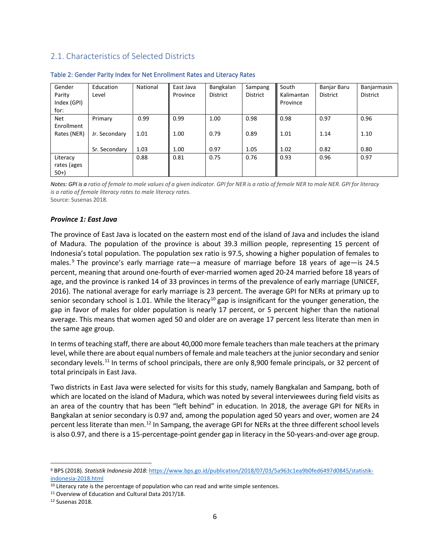## 2.1. Characteristics of Selected Districts

| Gender<br>Parity<br>Index (GPI)<br>for: | Education<br>Level | National | East Java<br>Province | Bangkalan<br>District | Sampang<br>District | South<br>Kalimantan<br>Province | Banjar Baru<br><b>District</b> | Banjarmasin<br><b>District</b> |
|-----------------------------------------|--------------------|----------|-----------------------|-----------------------|---------------------|---------------------------------|--------------------------------|--------------------------------|
| Net<br>Enrollment                       | Primary            | 0.99     | 0.99                  | 1.00                  | 0.98                | 0.98                            | 0.97                           | 0.96                           |
| Rates (NER)                             | Jr. Secondary      | 1.01     | 1.00                  | 0.79                  | 0.89                | 1.01                            | 1.14                           | 1.10                           |
|                                         | Sr. Secondary      | 1.03     | 1.00                  | 0.97                  | 1.05                | 1.02                            | 0.82                           | 0.80                           |
| Literacy                                |                    | 0.88     | 0.81                  | 0.75                  | 0.76                | 0.93                            | 0.96                           | 0.97                           |
| rates (ages                             |                    |          |                       |                       |                     |                                 |                                |                                |
| $50+$                                   |                    |          |                       |                       |                     |                                 |                                |                                |

#### Table 2: Gender Parity Index for Net Enrollment Rates and Literacy Rates

*Notes: GPI is a ratio of female to male values of a given indicator. GPI for NER is a ratio of female NER to male NER. GPI for literacy is a ratio of female literacy rates to male literacy rates.* Source: Susenas 2018.

#### *Province 1: East Java*

The province of East Java is located on the eastern most end of the island of Java and includes the island of Madura. The population of the province is about 39.3 million people, representing 15 percent of Indonesia's total population. The population sex ratio is 97.5, showing a higher population of females to males. <sup>[9](#page-7-0)</sup> The province's early marriage rate—a measure of marriage before 18 years of age—is 24.5 percent, meaning that around one-fourth of ever-married women aged 20-24 married before 18 years of age, and the province is ranked 14 of 33 provinces in terms of the prevalence of early marriage (UNICEF, 2016). The national average for early marriage is 23 percent. The average GPI for NERs at primary up to senior secondary school is 1.01. While the literacy<sup>[10](#page-7-1)</sup> gap is insignificant for the younger generation, the gap in favor of males for older population is nearly 17 percent, or 5 percent higher than the national average. This means that women aged 50 and older are on average 17 percent less literate than men in the same age group.

In terms of teaching staff, there are about 40,000 more female teachers than male teachers at the primary level, while there are about equal numbers of female and male teachers at the junior secondary and senior secondary levels.<sup>[11](#page-7-2)</sup> In terms of school principals, there are only 8,900 female principals, or 32 percent of total principals in East Java.

Two districts in East Java were selected for visits for this study, namely Bangkalan and Sampang, both of which are located on the island of Madura, which was noted by several interviewees during field visits as an area of the country that has been "left behind" in education. In 2018, the average GPI for NERs in Bangkalan at senior secondary is 0.97 and, among the population aged 50 years and over, women are 24 percent less literate than men.<sup>[12](#page-7-3)</sup> In Sampang, the average GPI for NERs at the three different school levels is also 0.97, and there is a 15-percentage-point gender gap in literacy in the 50-years-and-over age group.

<span id="page-7-0"></span><sup>9</sup> BPS (2018). *Statistik Indonesia 2018*[: https://www.bps.go.id/publication/2018/07/03/5a963c1ea9b0fed6497d0845/statistik](https://www.bps.go.id/publication/2018/07/03/5a963c1ea9b0fed6497d0845/statistik-indonesia-2018.html)[indonesia-2018.html](https://www.bps.go.id/publication/2018/07/03/5a963c1ea9b0fed6497d0845/statistik-indonesia-2018.html)

<span id="page-7-1"></span><sup>&</sup>lt;sup>10</sup> Literacy rate is the percentage of population who can read and write simple sentences.

<span id="page-7-3"></span><span id="page-7-2"></span><sup>&</sup>lt;sup>11</sup> Overview of Education and Cultural Data 2017/18.<br><sup>12</sup> Susenas 2018.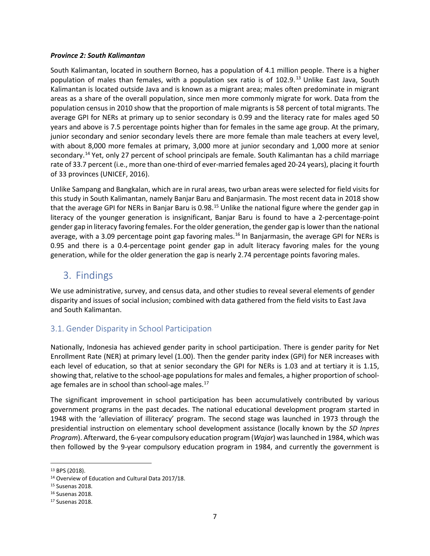#### *Province 2: South Kalimantan*

South Kalimantan, located in southern Borneo, has a population of 4.1 million people. There is a higher population of males than females, with a population sex ratio is of 102.9.<sup>[13](#page-8-0)</sup> Unlike East Java, South Kalimantan is located outside Java and is known as a migrant area; males often predominate in migrant areas as a share of the overall population, since men more commonly migrate for work. Data from the population census in 2010 show that the proportion of male migrants is 58 percent of total migrants. The average GPI for NERs at primary up to senior secondary is 0.99 and the literacy rate for males aged 50 years and above is 7.5 percentage points higher than for females in the same age group. At the primary, junior secondary and senior secondary levels there are more female than male teachers at every level, with about 8,000 more females at primary, 3,000 more at junior secondary and 1,000 more at senior secondary.<sup>[14](#page-8-1)</sup> Yet, only 27 percent of school principals are female. South Kalimantan has a child marriage rate of 33.7 percent (i.e., more than one-third of ever-married females aged 20-24 years), placing it fourth of 33 provinces (UNICEF, 2016).

Unlike Sampang and Bangkalan, which are in rural areas, two urban areas were selected for field visits for this study in South Kalimantan, namely Banjar Baru and Banjarmasin. The most recent data in 2018 show that the average GPI for NERs in Banjar Baru is 0.98.<sup>[15](#page-8-2)</sup> Unlike the national figure where the gender gap in literacy of the younger generation is insignificant, Banjar Baru is found to have a 2-percentage-point gender gap in literacy favoring females. For the older generation, the gender gap is lower than the national average, with a 3.09 percentage point gap favoring males.<sup>[16](#page-8-3)</sup> In Banjarmasin, the average GPI for NERs is 0.95 and there is a 0.4-percentage point gender gap in adult literacy favoring males for the young generation, while for the older generation the gap is nearly 2.74 percentage points favoring males.

# 3. Findings

We use administrative, survey, and census data, and other studies to reveal several elements of gender disparity and issues of social inclusion; combined with data gathered from the field visits to East Java and South Kalimantan.

# 3.1. Gender Disparity in School Participation

Nationally, Indonesia has achieved gender parity in school participation. There is gender parity for Net Enrollment Rate (NER) at primary level (1.00). Then the gender parity index (GPI) for NER increases with each level of education, so that at senior secondary the GPI for NERs is 1.03 and at tertiary it is 1.15, showing that, relative to the school-age populations for males and females, a higher proportion of school-age females are in school than school-age males.<sup>[17](#page-8-4)</sup>

The significant improvement in school participation has been accumulatively contributed by various government programs in the past decades. The national educational development program started in 1948 with the 'alleviation of illiteracy' program. The second stage was launched in 1973 through the presidential instruction on elementary school development assistance (locally known by the *SD Inpres Program*). Afterward, the 6-year compulsory education program (*Wajar*) was launched in 1984, which was then followed by the 9-year compulsory education program in 1984, and currently the government is

<span id="page-8-1"></span><span id="page-8-0"></span><sup>&</sup>lt;sup>13</sup> BPS (2018).<br><sup>14</sup> Overview of Education and Cultural Data 2017/18.<br><sup>15</sup> Susenas 2018.

<span id="page-8-3"></span><span id="page-8-2"></span><sup>16</sup> Susenas 2018.

<span id="page-8-4"></span><sup>17</sup> Susenas 2018.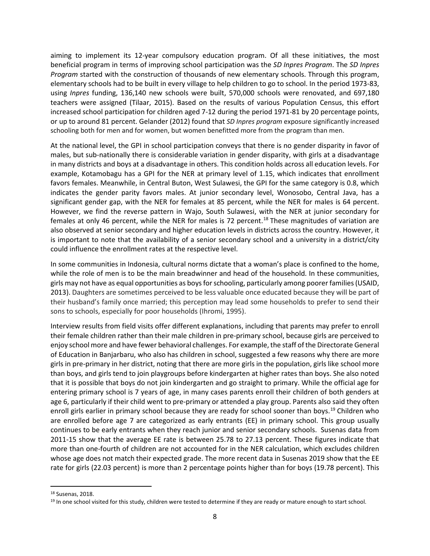aiming to implement its 12-year compulsory education program. Of all these initiatives, the most beneficial program in terms of improving school participation was the *SD Inpres Program*. The *SD Inpres Program* started with the construction of thousands of new elementary schools. Through this program, elementary schools had to be built in every village to help children to go to school. In the period 1973-83, using *Inpres* funding, 136,140 new schools were built, 570,000 schools were renovated, and 697,180 teachers were assigned (Tilaar, 2015). Based on the results of various Population Census, this effort increased school participation for children aged 7-12 during the period 1971-81 by 20 percentage points, or up to around 81 percent. Gelander (2012) found that *SD Inpres program* exposure significantly increased schooling both for men and for women, but women benefitted more from the program than men.

At the national level, the GPI in school participation conveys that there is no gender disparity in favor of males, but sub-nationally there is considerable variation in gender disparity, with girls at a disadvantage in many districts and boys at a disadvantage in others. This condition holds across all education levels. For example, Kotamobagu has a GPI for the NER at primary level of 1.15, which indicates that enrollment favors females. Meanwhile, in Central Buton, West Sulawesi, the GPI for the same category is 0.8, which indicates the gender parity favors males. At junior secondary level, Wonosobo, Central Java, has a significant gender gap, with the NER for females at 85 percent, while the NER for males is 64 percent. However, we find the reverse pattern in Wajo, South Sulawesi, with the NER at junior secondary for females at only 46 percent, while the NER for males is 72 percent.<sup>[18](#page-9-0)</sup> These magnitudes of variation are also observed at senior secondary and higher education levels in districts across the country. However, it is important to note that the availability of a senior secondary school and a university in a district/city could influence the enrollment rates at the respective level.

In some communities in Indonesia, cultural norms dictate that a woman's place is confined to the home, while the role of men is to be the main breadwinner and head of the household. In these communities, girls may not have as equal opportunities as boys for schooling, particularly among poorer families (USAID, 2013). Daughters are sometimes perceived to be less valuable once educated because they will be part of their husband's family once married; this perception may lead some households to prefer to send their sons to schools, especially for poor households (Ihromi, 1995).

Interview results from field visits offer different explanations, including that parents may prefer to enroll their female children rather than their male children in pre-primary school, because girls are perceived to enjoy school more and have fewer behavioral challenges. For example, the staff of the Directorate General of Education in Banjarbaru, who also has children in school, suggested a few reasons why there are more girls in pre-primary in her district, noting that there are more girls in the population, girls like school more than boys, and girls tend to join playgroups before kindergarten at higher rates than boys. She also noted that it is possible that boys do not join kindergarten and go straight to primary. While the official age for entering primary school is 7 years of age, in many cases parents enroll their children of both genders at age 6, particularly if their child went to pre-primary or attended a play group. Parents also said they often enroll girls earlier in primary school because they are ready for school sooner than boys.<sup>[19](#page-9-1)</sup> Children who are enrolled before age 7 are categorized as early entrants (EE) in primary school. This group usually continues to be early entrants when they reach junior and senior secondary schools. Susenas data from 2011-15 show that the average EE rate is between 25.78 to 27.13 percent. These figures indicate that more than one-fourth of children are not accounted for in the NER calculation, which excludes children whose age does not match their expected grade. The more recent data in Susenas 2019 show that the EE rate for girls (22.03 percent) is more than 2 percentage points higher than for boys (19.78 percent). This

<span id="page-9-0"></span><sup>18</sup> Susenas, 2018.

<span id="page-9-1"></span><sup>&</sup>lt;sup>19</sup> In one school visited for this study, children were tested to determine if they are ready or mature enough to start school.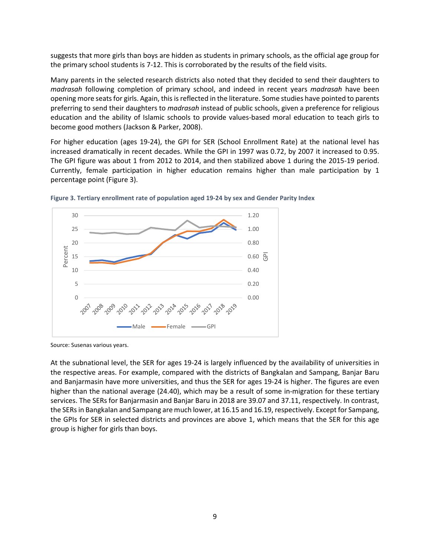suggests that more girls than boys are hidden as students in primary schools, as the official age group for the primary school students is 7-12. This is corroborated by the results of the field visits.

Many parents in the selected research districts also noted that they decided to send their daughters to *madrasah* following completion of primary school, and indeed in recent years *madrasah* have been opening more seats for girls. Again, this is reflected in the literature. Some studies have pointed to parents preferring to send their daughters to *madrasah* instead of public schools, given a preference for religious education and the ability of Islamic schools to provide values-based moral education to teach girls to become good mothers (Jackson & Parker, 2008).

For higher education (ages 19-24), the GPI for SER (School Enrollment Rate) at the national level has increased dramatically in recent decades. While the GPI in 1997 was 0.72, by 2007 it increased to 0.95. The GPI figure was about 1 from 2012 to 2014, and then stabilized above 1 during the 2015-19 period. Currently, female participation in higher education remains higher than male participation by 1 percentage point (Figure 3).



**Figure 3. Tertiary enrollment rate of population aged 19-24 by sex and Gender Parity Index**

Source: Susenas various years.

At the subnational level, the SER for ages 19-24 is largely influenced by the availability of universities in the respective areas. For example, compared with the districts of Bangkalan and Sampang, Banjar Baru and Banjarmasin have more universities, and thus the SER for ages 19-24 is higher. The figures are even higher than the national average (24.40), which may be a result of some in-migration for these tertiary services. The SERs for Banjarmasin and Banjar Baru in 2018 are 39.07 and 37.11, respectively. In contrast, the SERsin Bangkalan and Sampang are much lower, at 16.15 and 16.19, respectively. Except for Sampang, the GPIs for SER in selected districts and provinces are above 1, which means that the SER for this age group is higher for girls than boys.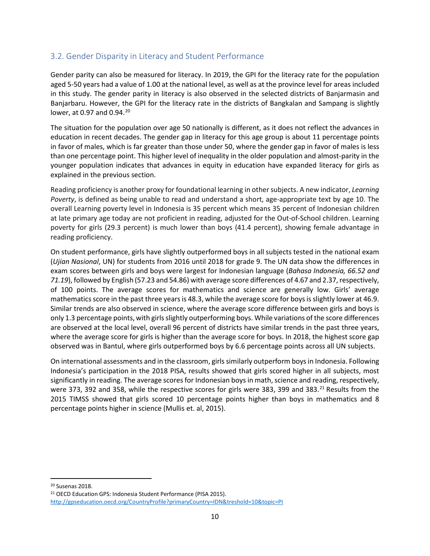### 3.2. Gender Disparity in Literacy and Student Performance

Gender parity can also be measured for literacy. In 2019, the GPI for the literacy rate for the population aged 5-50 years had a value of 1.00 at the national level, as well as at the province level for areas included in this study. The gender parity in literacy is also observed in the selected districts of Banjarmasin and Banjarbaru. However, the GPI for the literacy rate in the districts of Bangkalan and Sampang is slightly lower, at 0.97 and 0.94.<sup>[20](#page-11-0)</sup>

The situation for the population over age 50 nationally is different, as it does not reflect the advances in education in recent decades. The gender gap in literacy for this age group is about 11 percentage points in favor of males, which is far greater than those under 50, where the gender gap in favor of males is less than one percentage point. This higher level of inequality in the older population and almost-parity in the younger population indicates that advances in equity in education have expanded literacy for girls as explained in the previous section.

Reading proficiency is another proxy for foundational learning in other subjects. A new indicator, *Learning Poverty*, is defined as being unable to read and understand a short, age-appropriate text by age 10. The overall Learning poverty level in Indonesia is 35 percent which means 35 percent of Indonesian children at late primary age today are not proficient in reading, adjusted for the Out-of-School children. Learning poverty for girls (29.3 percent) is much lower than boys (41.4 percent), showing female advantage in reading proficiency.

On student performance, girls have slightly outperformed boys in all subjects tested in the national exam (*Ujian Nasional*, UN) for students from 2016 until 2018 for grade 9. The UN data show the differences in exam scores between girls and boys were largest for Indonesian language (*Bahasa Indonesia, 66.52 and 71.19*), followed by English (57.23 and 54.86) with average score differences of 4.67 and 2.37, respectively, of 100 points. The average scores for mathematics and science are generally low. Girls' average mathematics score in the past three years is 48.3, while the average score for boys is slightly lower at 46.9. Similar trends are also observed in science, where the average score difference between girls and boys is only 1.3 percentage points, with girls slightly outperforming boys. While variations of the score differences are observed at the local level, overall 96 percent of districts have similar trends in the past three years, where the average score for girls is higher than the average score for boys. In 2018, the highest score gap observed was in Bantul, where girls outperformed boys by 6.6 percentage points across all UN subjects.

On international assessments and in the classroom, girls similarly outperform boys in Indonesia. Following Indonesia's participation in the 2018 PISA, results showed that girls scored higher in all subjects, most significantly in reading. The average scores for Indonesian boys in math, science and reading, respectively, were 373, 392 and 358, while the respective scores for girls were 383, 399 and 383. $^{21}$  $^{21}$  $^{21}$  Results from the 2015 TIMSS showed that girls scored 10 percentage points higher than boys in mathematics and 8 percentage points higher in science (Mullis et. al, 2015).

<span id="page-11-0"></span><sup>20</sup> Susenas 2018.

<span id="page-11-1"></span><sup>21</sup> OECD Education GPS: Indonesia Student Performance (PISA 2015). <http://gpseducation.oecd.org/CountryProfile?primaryCountry=IDN&treshold=10&topic=PI>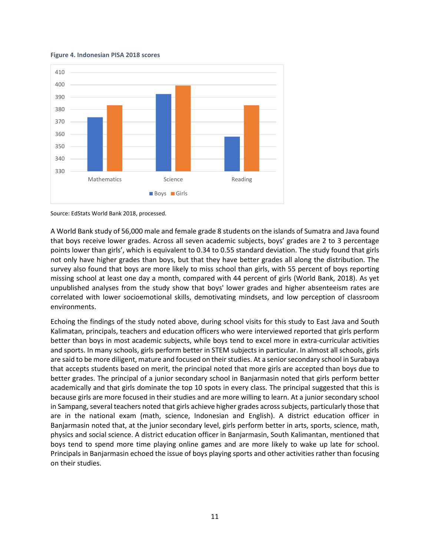#### **Figure 4. Indonesian PISA 2018 scores**





A World Bank study of 56,000 male and female grade 8 students on the islands of Sumatra and Java found that boys receive lower grades. Across all seven academic subjects, boys' grades are 2 to 3 percentage points lower than girls', which is equivalent to 0.34 to 0.55 standard deviation. The study found that girls not only have higher grades than boys, but that they have better grades all along the distribution. The survey also found that boys are more likely to miss school than girls, with 55 percent of boys reporting missing school at least one day a month, compared with 44 percent of girls (World Bank, 2018). As yet unpublished analyses from the study show that boys' lower grades and higher absenteeism rates are correlated with lower socioemotional skills, demotivating mindsets, and low perception of classroom environments.

Echoing the findings of the study noted above, during school visits for this study to East Java and South Kalimatan, principals, teachers and education officers who were interviewed reported that girls perform better than boys in most academic subjects, while boys tend to excel more in extra-curricular activities and sports. In many schools, girls perform better in STEM subjects in particular. In almost all schools, girls are said to be more diligent, mature and focused on their studies. At a senior secondary school in Surabaya that accepts students based on merit, the principal noted that more girls are accepted than boys due to better grades. The principal of a junior secondary school in Banjarmasin noted that girls perform better academically and that girls dominate the top 10 spots in every class. The principal suggested that this is because girls are more focused in their studies and are more willing to learn. At a junior secondary school in Sampang, several teachers noted that girls achieve higher grades across subjects, particularly those that are in the national exam (math, science, Indonesian and English). A district education officer in Banjarmasin noted that, at the junior secondary level, girls perform better in arts, sports, science, math, physics and social science. A district education officer in Banjarmasin, South Kalimantan, mentioned that boys tend to spend more time playing online games and are more likely to wake up late for school. Principals in Banjarmasin echoed the issue of boys playing sports and other activities rather than focusing on their studies.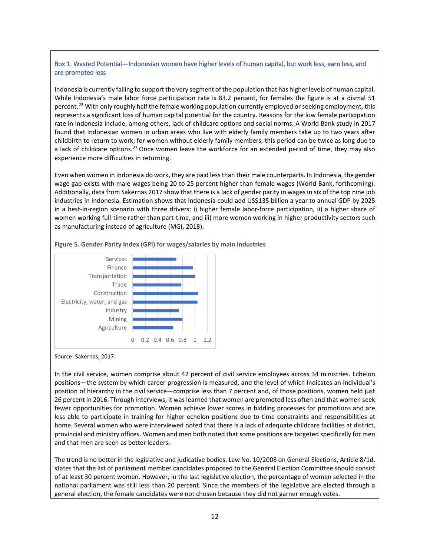#### Box 1. Wasted Potential—Indonesian women have higher levels of human capital, but work less, earn less, and are promoted less

Indonesia is currently failing to support the very segment of the population that has higher levels of human capital. While Indonesia's male labor force participation rate is 83.2 percent, for females the figure is at a dismal 51 percent.<sup>[22](#page-13-0)</sup> With only roughly half the female working population currently employed or seeking employment, this represents a significant loss of human capital potential for the country. Reasons for the low female participation rate in Indonesia include, among others, lack of childcare options and social norms. A World Bank study in 2017 found that Indonesian women in urban areas who live with elderly family members take up to two years after childbirth to return to work; for women without elderly family members, this period can be twice as long due to a lack of childcare options.<sup>[23](#page-13-1)</sup> Once women leave the workforce for an extended period of time, they may also experience more difficulties in returning.

Even when women in Indonesia do work, they are paid less than their male counterparts. In Indonesia, the gender wage gap exists with male wages being 20 to 25 percent higher than female wages (World Bank, forthcoming). Additionally, data from Sakernas 2017 show that there is a lack of gender parity in wages in six of the top nine job industries in Indonesia. Estimation shows that Indonesia could add US\$135 billion a year to annual GDP by 2025 in a best-in-region scenario with three drivers: i) higher female labor-force participation, ii) a higher share of women working full-time rather than part-time, and iii) more women working in higher productivity sectors such as manufacturing instead of agriculture (MGI, 2018).



#### **Figure 5. Gender Parity Index (GPI) for wages/salaries by main industries**

In the civil service, women comprise about 42 percent of civil service employees across 34 ministries. Echelon positions—the system by which career progression is measured, and the level of which indicates an individual's position of hierarchy in the civil service—comprise less than 7 percent and, of those positions, women held just 26 percent in 2016. Through interviews, it was learned that women are promoted less often and that women seek fewer opportunities for promotion. Women achieve lower scores in bidding processes for promotions and are less able to participate in training for higher echelon positions due to time constraints and responsibilities at home. Several women who were interviewed noted that there is a lack of adequate childcare facilities at district, provincial and ministry offices. Women and men both noted that some positions are targeted specifically for men and that men are seen as better leaders.

<span id="page-13-1"></span><span id="page-13-0"></span>The trend is no better in the legislative and judicative bodies. Law No. 10/2008 on General Elections, Article 8/1d, states that the list of parliament member candidates proposed to the General Election Committee should consist of at least 30 percent women. However, in the last legislative election, the percentage of women selected in the national parliament was still less than 20 percent. Since the members of the legislative are elected through a general election, the female candidates were not chosen because they did not garner enough votes.

Source: Sakernas, 2017.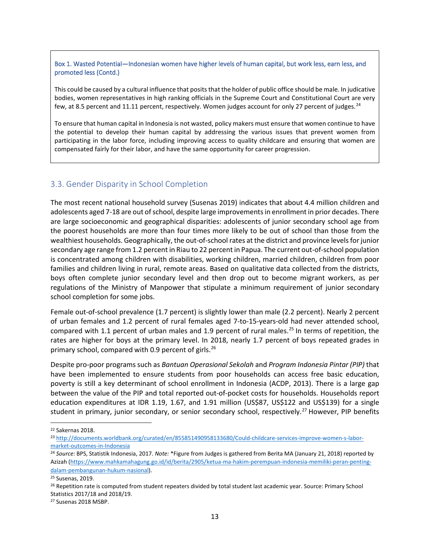#### Box 1. Wasted Potential—Indonesian women have higher levels of human capital, but work less, earn less, and promoted less (Contd.)

This could be caused by a cultural influence that posits that the holder of public office should be male. In judicative bodies, women representatives in high ranking officials in the Supreme Court and Constitutional Court are very few, at 8.5 percent and 11.11 percent, respectively. Women judges account for only 27 percent of judges.<sup>[24](#page-14-0)</sup>

To ensure that human capital in Indonesia is not wasted, policy makers must ensure that women continue to have the potential to develop their human capital by addressing the various issues that prevent women from participating in the labor force, including improving access to quality childcare and ensuring that women are compensated fairly for their labor, and have the same opportunity for career progression.

### 3.3. Gender Disparity in School Completion

The most recent national household survey (Susenas 2019) indicates that about 4.4 million children and adolescents aged 7-18 are out of school, despite large improvements in enrollment in prior decades. There are large socioeconomic and geographical disparities: adolescents of junior secondary school age from the poorest households are more than four times more likely to be out of school than those from the wealthiest households. Geographically, the out-of-school rates at the district and province levelsfor junior secondary age range from 1.2 percent in Riau to 22 percent in Papua. The current out-of-school population is concentrated among children with disabilities, working children, married children, children from poor families and children living in rural, remote areas. Based on qualitative data collected from the districts, boys often complete junior secondary level and then drop out to become migrant workers, as per regulations of the Ministry of Manpower that stipulate a minimum requirement of junior secondary school completion for some jobs.

Female out-of-school prevalence (1.7 percent) is slightly lower than male (2.2 percent). Nearly 2 percent of urban females and 1.2 percent of rural females aged 7-to-15-years-old had never attended school, compared with 1.1 percent of urban males and 1.9 percent of rural males. [25](#page-14-1) In terms of repetition, the rates are higher for boys at the primary level. In 2018, nearly 1.7 percent of boys repeated grades in primary school, compared with 0.9 percent of girls.<sup>[26](#page-14-2)</sup>

Despite pro-poor programs such as *Bantuan Operasional Sekolah* and *Program Indonesia Pintar (PIP)* that have been implemented to ensure students from poor households can access free basic education, poverty is still a key determinant of school enrollment in Indonesia (ACDP, 2013). There is a large gap between the value of the PIP and total reported out-of-pocket costs for households. Households report education expenditures at IDR 1.19, 1.67, and 1.91 million (US\$87, US\$122 and US\$139) for a single student in primary, junior secondary, or senior secondary school, respectively.<sup>[27](#page-14-3)</sup> However, PIP benefits

<sup>22</sup> Sakernas 2018.

<sup>23</sup> [http://documents.worldbank.org/curated/en/855851490958133680/Could-childcare-services-improve-women-s-labor](http://documents.worldbank.org/curated/en/855851490958133680/Could-childcare-services-improve-women-s-labor-market-outcomes-in-Indonesia)[market-outcomes-in-Indonesia](http://documents.worldbank.org/curated/en/855851490958133680/Could-childcare-services-improve-women-s-labor-market-outcomes-in-Indonesia)

<span id="page-14-0"></span><sup>24</sup> *Source:* BPS, Statistik Indonesia, 2017. *Note:* \*Figure from Judges is gathered from Berita MA (January 21, 2018) reported by Azizah [\(https://www.mahkamahagung.go.id/id/berita/2905/ketua-ma-hakim-perempuan-indonesia-memiliki-peran-penting](https://www.mahkamahagung.go.id/id/berita/2905/ketua-ma-hakim-perempuan-indonesia-memiliki-peran-penting-dalam-pembangunan-hukum-nasional)[dalam-pembangunan-hukum-nasional\)](https://www.mahkamahagung.go.id/id/berita/2905/ketua-ma-hakim-perempuan-indonesia-memiliki-peran-penting-dalam-pembangunan-hukum-nasional).

<span id="page-14-1"></span><sup>25</sup> Susenas, 2019.

<span id="page-14-2"></span><sup>&</sup>lt;sup>26</sup> Repetition rate is computed from student repeaters divided by total student last academic year. Source: Primary School Statistics 2017/18 and 2018/19.

<span id="page-14-3"></span><sup>27</sup> Susenas 2018 MSBP.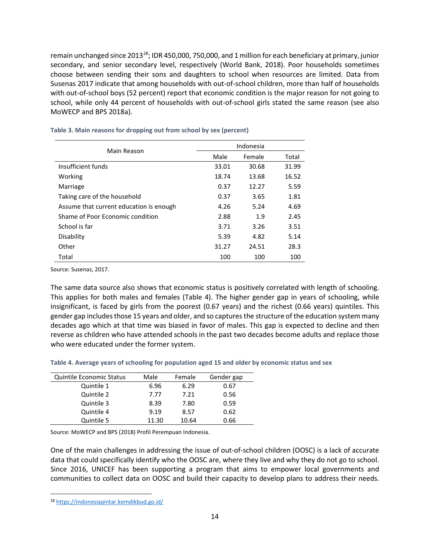remain unchanged since 2013<sup>[28](#page-15-0)</sup>; IDR 450,000, 750,000, and 1 million for each beneficiary at primary, junior secondary, and senior secondary level, respectively (World Bank, 2018). Poor households sometimes choose between sending their sons and daughters to school when resources are limited. Data from Susenas 2017 indicate that among households with out-of-school children, more than half of households with out-of-school boys (52 percent) report that economic condition is the major reason for not going to school, while only 44 percent of households with out-of-school girls stated the same reason (see also MoWECP and BPS 2018a).

|                                         | Indonesia |        |       |  |  |
|-----------------------------------------|-----------|--------|-------|--|--|
| Main Reason                             | Male      | Female | Total |  |  |
| Insufficient funds                      | 33.01     | 30.68  | 31.99 |  |  |
| Working                                 | 18.74     | 13.68  | 16.52 |  |  |
| Marriage                                | 0.37      | 12.27  | 5.59  |  |  |
| Taking care of the household            | 0.37      | 3.65   | 1.81  |  |  |
| Assume that current education is enough | 4.26      | 5.24   | 4.69  |  |  |
| Shame of Poor Economic condition        | 2.88      | 1.9    | 2.45  |  |  |
| School is far                           | 3.71      | 3.26   | 3.51  |  |  |
| Disability                              | 5.39      | 4.82   | 5.14  |  |  |
| Other                                   | 31.27     | 24.51  | 28.3  |  |  |
| Total                                   | 100       | 100    | 100   |  |  |

#### **Table 3. Main reasons for dropping out from school by sex (percent)**

Source: Susenas, 2017.

The same data source also shows that economic status is positively correlated with length of schooling. This applies for both males and females (Table 4). The higher gender gap in years of schooling, while insignificant, is faced by girls from the poorest (0.67 years) and the richest (0.66 years) quintiles. This gender gap includes those 15 years and older, and so captures the structure of the education system many decades ago which at that time was biased in favor of males. This gap is expected to decline and then reverse as children who have attended schools in the past two decades become adults and replace those who were educated under the former system.

**Table 4. Average years of schooling for population aged 15 and older by economic status and sex**

| <b>Quintile Economic Status</b> | Male  | Female | Gender gap |
|---------------------------------|-------|--------|------------|
| Quintile 1                      | 6.96  | 6.29   | 0.67       |
| Quintile 2                      | 7.77  | 7.21   | 0.56       |
| Quintile 3                      | 8.39  | 7.80   | 0.59       |
| Quintile 4                      | 9.19  | 8.57   | 0.62       |
| Quintile 5                      | 11.30 | 10.64  | 0.66       |

Source: MoWECP and BPS (2018) Profil Perempuan Indonesia.

One of the main challenges in addressing the issue of out-of-school children (OOSC) is a lack of accurate data that could specifically identify who the OOSC are, where they live and why they do not go to school. Since 2016, UNICEF has been supporting a program that aims to empower local governments and communities to collect data on OOSC and build their capacity to develop plans to address their needs.

<span id="page-15-0"></span><sup>28</sup> <https://indonesiapintar.kemdikbud.go.id/>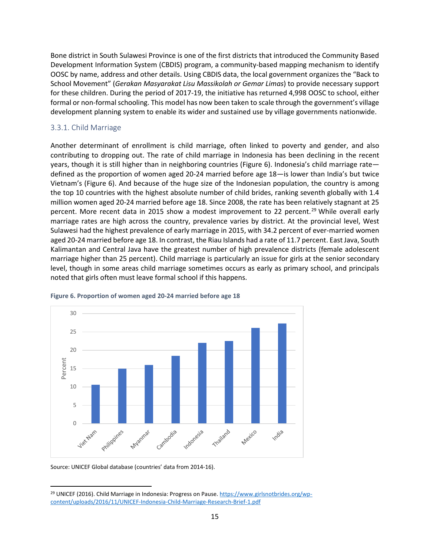Bone district in South Sulawesi Province is one of the first districts that introduced the Community Based Development Information System (CBDIS) program, a community-based mapping mechanism to identify OOSC by name, address and other details. Using CBDIS data, the local government organizes the "Back to School Movement" (*Gerakan Masyarakat Lisu Massikolah or Gemar Limas*) to provide necessary support for these children. During the period of 2017-19, the initiative has returned 4,998 OOSC to school, either formal or non-formal schooling. This model has now been taken to scale through the government's village development planning system to enable its wider and sustained use by village governments nationwide.

### 3.3.1. Child Marriage

Another determinant of enrollment is child marriage, often linked to poverty and gender, and also contributing to dropping out. The rate of child marriage in Indonesia has been declining in the recent years, though it is still higher than in neighboring countries (Figure 6). Indonesia's child marriage rate defined as the proportion of women aged 20-24 married before age 18—is lower than India's but twice Vietnam's (Figure 6). And because of the huge size of the Indonesian population, the country is among the top 10 countries with the highest absolute number of child brides, ranking seventh globally with 1.4 million women aged 20-24 married before age 18. Since 2008, the rate has been relatively stagnant at 25 percent. More recent data in 2015 show a modest improvement to 22 percent.<sup>[29](#page-16-0)</sup> While overall early marriage rates are high across the country, prevalence varies by district. At the provincial level, West Sulawesi had the highest prevalence of early marriage in 2015, with 34.2 percent of ever-married women aged 20-24 married before age 18. In contrast, the Riau Islands had a rate of 11.7 percent. East Java, South Kalimantan and Central Java have the greatest number of high prevalence districts (female adolescent marriage higher than 25 percent). Child marriage is particularly an issue for girls at the senior secondary level, though in some areas child marriage sometimes occurs as early as primary school, and principals noted that girls often must leave formal school if this happens.



#### **Figure 6. Proportion of women aged 20-24 married before age 18**

Source: UNICEF Global database (countries' data from 2014-16).

<span id="page-16-0"></span><sup>&</sup>lt;sup>29</sup> UNICEF (2016). Child Marriage in Indonesia: Progress on Pause. [https://www.girlsnotbrides.org/wp](https://www.girlsnotbrides.org/wp-content/uploads/2016/11/UNICEF-Indonesia-Child-Marriage-Research-Brief-1.pdf)[content/uploads/2016/11/UNICEF-Indonesia-Child-Marriage-Research-Brief-1.pdf](https://www.girlsnotbrides.org/wp-content/uploads/2016/11/UNICEF-Indonesia-Child-Marriage-Research-Brief-1.pdf)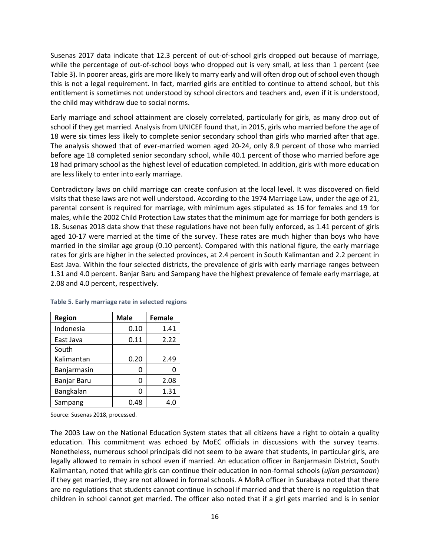Susenas 2017 data indicate that 12.3 percent of out-of-school girls dropped out because of marriage, while the percentage of out-of-school boys who dropped out is very small, at less than 1 percent (see Table 3). In poorer areas, girls are more likely to marry early and will often drop out of school even though this is not a legal requirement. In fact, married girls are entitled to continue to attend school, but this entitlement is sometimes not understood by school directors and teachers and, even if it is understood, the child may withdraw due to social norms.

Early marriage and school attainment are closely correlated, particularly for girls, as many drop out of school if they get married. Analysis from UNICEF found that, in 2015, girls who married before the age of 18 were six times less likely to complete senior secondary school than girls who married after that age. The analysis showed that of ever-married women aged 20-24, only 8.9 percent of those who married before age 18 completed senior secondary school, while 40.1 percent of those who married before age 18 had primary school as the highest level of education completed. In addition, girls with more education are less likely to enter into early marriage.

Contradictory laws on child marriage can create confusion at the local level. It was discovered on field visits that these laws are not well understood. According to the 1974 Marriage Law, under the age of 21, parental consent is required for marriage, with minimum ages stipulated as 16 for females and 19 for males, while the 2002 Child Protection Law states that the minimum age for marriage for both genders is 18. Susenas 2018 data show that these regulations have not been fully enforced, as 1.41 percent of girls aged 10-17 were married at the time of the survey. These rates are much higher than boys who have married in the similar age group (0.10 percent). Compared with this national figure, the early marriage rates for girls are higher in the selected provinces, at 2.4 percent in South Kalimantan and 2.2 percent in East Java. Within the four selected districts, the prevalence of girls with early marriage ranges between 1.31 and 4.0 percent. Banjar Baru and Sampang have the highest prevalence of female early marriage, at 2.08 and 4.0 percent, respectively.

| <b>Region</b> | <b>Male</b> | <b>Female</b> |
|---------------|-------------|---------------|
| Indonesia     | 0.10        | 1.41          |
| East Java     | 0.11        | 2.22          |
| South         |             |               |
| Kalimantan    | 0.20        | 2.49          |
| Banjarmasin   | ი           |               |
| Banjar Baru   | ი           | 2.08          |
| Bangkalan     | ŋ           | 1.31          |
| Sampang       | 0.48        | 4.0           |

**Table 5. Early marriage rate in selected regions**

Source: Susenas 2018, processed.

The 2003 Law on the National Education System states that all citizens have a right to obtain a quality education. This commitment was echoed by MoEC officials in discussions with the survey teams. Nonetheless, numerous school principals did not seem to be aware that students, in particular girls, are legally allowed to remain in school even if married. An education officer in Banjarmasin District, South Kalimantan, noted that while girls can continue their education in non-formal schools (*ujian persamaan*) if they get married, they are not allowed in formal schools. A MoRA officer in Surabaya noted that there are no regulations that students cannot continue in school if married and that there is no regulation that children in school cannot get married. The officer also noted that if a girl gets married and is in senior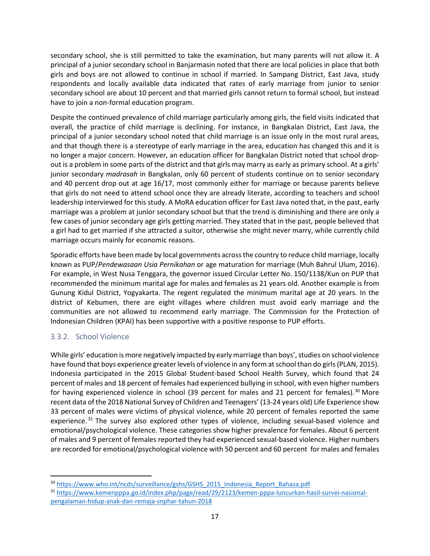secondary school, she is still permitted to take the examination, but many parents will not allow it. A principal of a junior secondary school in Banjarmasin noted that there are local policies in place that both girls and boys are not allowed to continue in school if married. In Sampang District, East Java, study respondents and locally available data indicated that rates of early marriage from junior to senior secondary school are about 10 percent and that married girls cannot return to formal school, but instead have to join a non-formal education program.

Despite the continued prevalence of child marriage particularly among girls, the field visits indicated that overall, the practice of child marriage is declining. For instance, in Bangkalan District, East Java, the principal of a junior secondary school noted that child marriage is an issue only in the most rural areas, and that though there is a stereotype of early marriage in the area, education has changed this and it is no longer a major concern. However, an education officer for Bangkalan District noted that school dropout is a problem in some parts of the district and that girls may marry as early as primary school. At a girls' junior secondary *madrasah* in Bangkalan, only 60 percent of students continue on to senior secondary and 40 percent drop out at age 16/17, most commonly either for marriage or because parents believe that girls do not need to attend school once they are already literate, according to teachers and school leadership interviewed for this study. A MoRA education officer for East Java noted that, in the past, early marriage was a problem at junior secondary school but that the trend is diminishing and there are only a few cases of junior secondary age girls getting married. They stated that in the past, people believed that a girl had to get married if she attracted a suitor, otherwise she might never marry, while currently child marriage occurs mainly for economic reasons.

Sporadic efforts have been made by local governments across the country to reduce child marriage, locally known as PUP/*Pendewasaan Usia Pernikahan* or age maturation for marriage (Muh Bahrul Ulum, 2016). For example, in West Nusa Tenggara, the governor issued Circular Letter No. 150/1138/Kun on PUP that recommended the minimum marital age for males and females as 21 years old. Another example is from Gunung Kidul District, Yogyakarta. The regent regulated the minimum marital age at 20 years. In the district of Kebumen, there are eight villages where children must avoid early marriage and the communities are not allowed to recommend early marriage. The Commission for the Protection of Indonesian Children (KPAI) has been supportive with a positive response to PUP efforts.

### 3.3.2. School Violence

While girls' education is more negatively impacted by early marriage than boys', studies on school violence have found that boys experience greater levels of violence in any form at school than do girls(PLAN, 2015). Indonesia participated in the 2015 Global Student-based School Health Survey, which found that 24 percent of males and 18 percent of females had experienced bullying in school, with even higher numbers for having experienced violence in school (39 percent for males and 21 percent for females).<sup>[30](#page-18-0)</sup> More recent data of the 2018 National Survey of Children and Teenagers' (13-24 years old) Life Experience show 33 percent of males were victims of physical violence, while 20 percent of females reported the same experience.<sup>[31](#page-18-1)</sup> The survey also explored other types of violence, including sexual-based violence and emotional/psychological violence. These categories show higher prevalence for females. About 6 percent of males and 9 percent of females reported they had experienced sexual-based violence. Higher numbers are recorded for emotional/psychological violence with 50 percent and 60 percent for males and females

<span id="page-18-0"></span><sup>&</sup>lt;sup>30</sup> [https://www.who.int/ncds/surveillance/gshs/GSHS\\_2015\\_Indonesia\\_Report\\_Bahasa.pdf](https://www.who.int/ncds/surveillance/gshs/GSHS_2015_Indonesia_Report_Bahasa.pdf)

<span id="page-18-1"></span><sup>31</sup> [https://www.kemenpppa.go.id/index.php/page/read/29/2123/kemen-pppa-luncurkan-hasil-survei-nasional](https://www.kemenpppa.go.id/index.php/page/read/29/2123/kemen-pppa-luncurkan-hasil-survei-nasional-pengalaman-hidup-anak-dan-remaja-snphar-tahun-2018)[pengalaman-hidup-anak-dan-remaja-snphar-tahun-2018](https://www.kemenpppa.go.id/index.php/page/read/29/2123/kemen-pppa-luncurkan-hasil-survei-nasional-pengalaman-hidup-anak-dan-remaja-snphar-tahun-2018)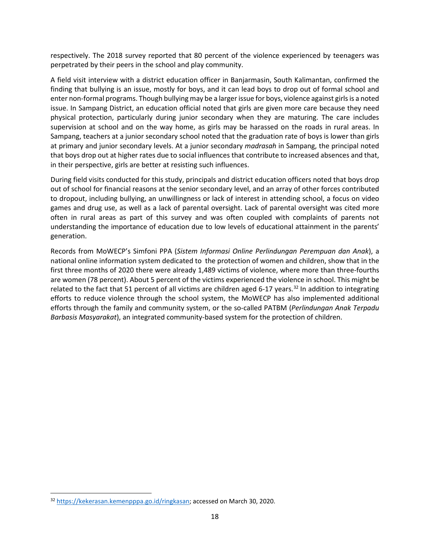respectively. The 2018 survey reported that 80 percent of the violence experienced by teenagers was perpetrated by their peers in the school and play community.

A field visit interview with a district education officer in Banjarmasin, South Kalimantan, confirmed the finding that bullying is an issue, mostly for boys, and it can lead boys to drop out of formal school and enter non-formal programs. Though bullying may be a larger issue for boys, violence against girls is a noted issue. In Sampang District, an education official noted that girls are given more care because they need physical protection, particularly during junior secondary when they are maturing. The care includes supervision at school and on the way home, as girls may be harassed on the roads in rural areas. In Sampang, teachers at a junior secondary school noted that the graduation rate of boys is lower than girls at primary and junior secondary levels. At a junior secondary *madrasah* in Sampang, the principal noted that boys drop out at higher rates due to social influences that contribute to increased absences and that, in their perspective, girls are better at resisting such influences.

During field visits conducted for this study, principals and district education officers noted that boys drop out of school for financial reasons at the senior secondary level, and an array of other forces contributed to dropout, including bullying, an unwillingness or lack of interest in attending school, a focus on video games and drug use, as well as a lack of parental oversight. Lack of parental oversight was cited more often in rural areas as part of this survey and was often coupled with complaints of parents not understanding the importance of education due to low levels of educational attainment in the parents' generation.

Records from MoWECP's Simfoni PPA (*Sistem Informasi Online Perlindungan Perempuan dan Anak*), a national online information system dedicated to the protection of women and children, show that in the first three months of 2020 there were already 1,489 victims of violence, where more than three-fourths are women (78 percent). About 5 percent of the victims experienced the violence in school. This might be related to the fact that 51 percent of all victims are children aged 6-17 years.<sup>[32](#page-19-0)</sup> In addition to integrating efforts to reduce violence through the school system, the MoWECP has also implemented additional efforts through the family and community system, or the so-called PATBM (*Perlindungan Anak Terpadu Barbasis Masyarakat*), an integrated community-based system for the protection of children.

<span id="page-19-0"></span><sup>32</sup> [https://kekerasan.kemenpppa.go.id/ringkasan;](https://kekerasan.kemenpppa.go.id/ringkasan) accessed on March 30, 2020.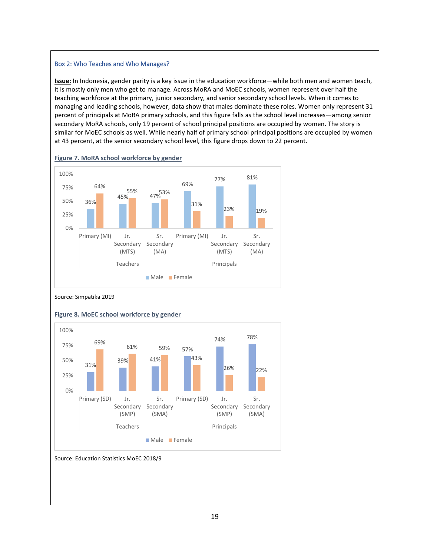#### Box 2: Who Teaches and Who Manages?

**Issue:** In Indonesia, gender parity is a key issue in the education workforce—while both men and women teach, it is mostly only men who get to manage. Across MoRA and MoEC schools, women represent over half the teaching workforce at the primary, junior secondary, and senior secondary school levels. When it comes to managing and leading schools, however, data show that males dominate these roles. Women only represent 31 percent of principals at MoRA primary schools, and this figure falls as the school level increases—among senior secondary MoRA schools, only 19 percent of school principal positions are occupied by women. The story is similar for MoEC schools as well. While nearly half of primary school principal positions are occupied by women at 43 percent, at the senior secondary school level, this figure drops down to 22 percent.









#### **Figure 8. MoEC school workforce by gender**

Source: Education Statistics MoEC 2018/9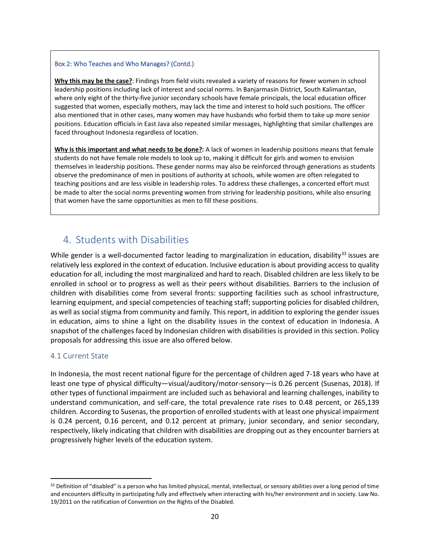#### Box 2: Who Teaches and Who Manages? (Contd.)

**Why this may be the case?**: Findings from field visits revealed a variety of reasons for fewer women in school leadership positions including lack of interest and social norms. In Banjarmasin District, South Kalimantan, where only eight of the thirty-five junior secondary schools have female principals, the local education officer suggested that women, especially mothers, may lack the time and interest to hold such positions. The officer also mentioned that in other cases, many women may have husbands who forbid them to take up more senior positions. Education officials in East Java also repeated similar messages, highlighting that similar challenges are faced throughout Indonesia regardless of location.

**Why is this important and what needs to be done?:** A lack of women in leadership positions means that female students do not have female role models to look up to, making it difficult for girls and women to envision themselves in leadership positions. These gender norms may also be reinforced through generations as students observe the predominance of men in positions of authority at schools, while women are often relegated to teaching positions and are less visible in leadership roles. To address these challenges, a concerted effort must be made to alter the social norms preventing women from striving for leadership positions, while also ensuring that women have the same opportunities as men to fill these positions.

# 4. Students with Disabilities

While gender is a well-documented factor leading to marginalization in education, disability<sup>[33](#page-21-0)</sup> issues are relatively less explored in the context of education. Inclusive education is about providing access to quality education for all, including the most marginalized and hard to reach. Disabled children are less likely to be enrolled in school or to progress as well as their peers without disabilities. Barriers to the inclusion of children with disabilities come from several fronts: supporting facilities such as school infrastructure, learning equipment, and special competencies of teaching staff; supporting policies for disabled children, as well as social stigma from community and family. This report, in addition to exploring the gender issues in education, aims to shine a light on the disability issues in the context of education in Indonesia. A snapshot of the challenges faced by Indonesian children with disabilities is provided in this section. Policy proposals for addressing this issue are also offered below.

#### 4.1 Current State

In Indonesia, the most recent national figure for the percentage of children aged 7-18 years who have at least one type of physical difficulty—visual/auditory/motor-sensory—is 0.26 percent (Susenas, 2018). If other types of functional impairment are included such as behavioral and learning challenges, inability to understand communication, and self-care, the total prevalence rate rises to 0.48 percent, or 265,139 children. According to Susenas, the proportion of enrolled students with at least one physical impairment is 0.24 percent, 0.16 percent, and 0.12 percent at primary, junior secondary, and senior secondary, respectively, likely indicating that children with disabilities are dropping out as they encounter barriers at progressively higher levels of the education system.

<span id="page-21-0"></span><sup>33</sup> Definition of "disabled" is a person who has limited physical, mental, intellectual, or sensory abilities over a long period of time and encounters difficulty in participating fully and effectively when interacting with his/her environment and in society. Law No. 19/2011 on the ratification of Convention on the Rights of the Disabled.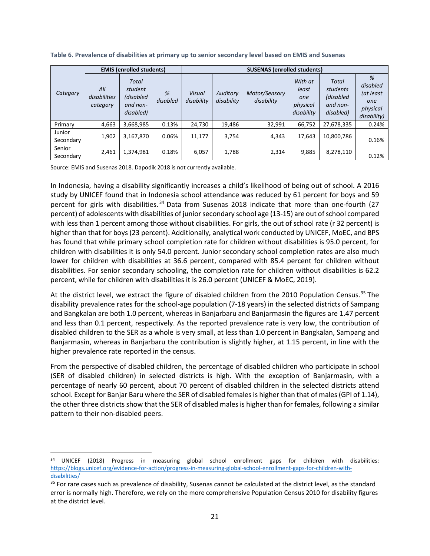|                     |                                 | <b>EMIS (enrolled students)</b>                        |               |                      | <b>SUSENAS (enrolled students)</b> |                             |                                                   |                                                         |                                                              |
|---------------------|---------------------------------|--------------------------------------------------------|---------------|----------------------|------------------------------------|-----------------------------|---------------------------------------------------|---------------------------------------------------------|--------------------------------------------------------------|
| Category            | All<br>disabilities<br>category | Total<br>student<br>(disabled<br>and non-<br>disabled) | %<br>disabled | Visual<br>disability | Auditory<br>disability             | Motor/Sensory<br>disability | With at<br>least<br>one<br>physical<br>disability | Total<br>students<br>(disabled<br>and non-<br>disabled) | %<br>disabled<br>(at least<br>one<br>physical<br>disability) |
| Primary             | 4,663                           | 3,668,985                                              | 0.13%         | 24,730               | 19,486                             | 32,991                      | 66,752                                            | 27,678,335                                              | 0.24%                                                        |
| Junior<br>Secondary | 1,902                           | 3,167,870                                              | 0.06%         | 11,177               | 3,754                              | 4,343                       | 17.643                                            | 10,800,786                                              | 0.16%                                                        |
| Senior<br>Secondary | 2,461                           | 1,374,981                                              | 0.18%         | 6,057                | 1,788                              | 2,314                       | 9,885                                             | 8,278,110                                               | 0.12%                                                        |

**Table 6. Prevalence of disabilities at primary up to senior secondary level based on EMIS and Susenas**

Source: EMIS and Susenas 2018. Dapodik 2018 is not currently available.

In Indonesia, having a disability significantly increases a child's likelihood of being out of school. A 2016 study by UNICEF found that in Indonesia school attendance was reduced by 61 percent for boys and 59 percent for girls with disabilities.<sup>[34](#page-22-0)</sup> Data from Susenas 2018 indicate that more than one-fourth (27 percent) of adolescents with disabilities of junior secondary school age (13-15) are out of school compared with less than 1 percent among those without disabilities. For girls, the out of school rate (r 32 percent) is higher than that for boys (23 percent). Additionally, analytical work conducted by UNICEF, MoEC, and BPS has found that while primary school completion rate for children without disabilities is 95.0 percent, for children with disabilities it is only 54.0 percent. Junior secondary school completion rates are also much lower for children with disabilities at 36.6 percent, compared with 85.4 percent for children without disabilities. For senior secondary schooling, the completion rate for children without disabilities is 62.2 percent, while for children with disabilities it is 26.0 percent (UNICEF & MoEC, 2019).

At the district level, we extract the figure of disabled children from the 2010 Population Census.<sup>[35](#page-22-1)</sup> The disability prevalence rates for the school-age population (7-18 years) in the selected districts of Sampang and Bangkalan are both 1.0 percent, whereas in Banjarbaru and Banjarmasin the figures are 1.47 percent and less than 0.1 percent, respectively. As the reported prevalence rate is very low, the contribution of disabled children to the SER as a whole is very small, at less than 1.0 percent in Bangkalan, Sampang and Banjarmasin, whereas in Banjarbaru the contribution is slightly higher, at 1.15 percent, in line with the higher prevalence rate reported in the census.

From the perspective of disabled children, the percentage of disabled children who participate in school (SER of disabled children) in selected districts is high. With the exception of Banjarmasin, with a percentage of nearly 60 percent, about 70 percent of disabled children in the selected districts attend school. Except for Banjar Baru where the SER of disabled females is higher than that of males (GPI of 1.14), the other three districts show that the SER of disabled males is higher than for females, following a similar pattern to their non-disabled peers.

<span id="page-22-0"></span><sup>&</sup>lt;sup>34</sup> UNICEF (2018) Progress in measuring global school enrollment gaps for children with disabilities: [https://blogs.unicef.org/evidence-for-action/progress-in-measuring-global-school-enrollment-gaps-for-children-with](https://blogs.unicef.org/evidence-for-action/progress-in-measuring-global-school-enrollment-gaps-for-children-with-disabilities/)[disabilities/](https://blogs.unicef.org/evidence-for-action/progress-in-measuring-global-school-enrollment-gaps-for-children-with-disabilities/)

<span id="page-22-1"></span><sup>&</sup>lt;sup>35</sup> For rare cases such as prevalence of disability, Susenas cannot be calculated at the district level, as the standard error is normally high. Therefore, we rely on the more comprehensive Population Census 2010 for disability figures at the district level.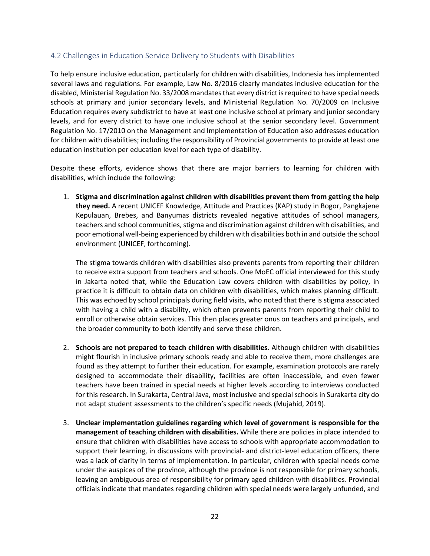### 4.2 Challenges in Education Service Delivery to Students with Disabilities

To help ensure inclusive education, particularly for children with disabilities, Indonesia has implemented several laws and regulations. For example, Law No. 8/2016 clearly mandates inclusive education for the disabled, Ministerial Regulation No. 33/2008 mandates that every district is required to have special needs schools at primary and junior secondary levels, and Ministerial Regulation No. 70/2009 on Inclusive Education requires every subdistrict to have at least one inclusive school at primary and junior secondary levels, and for every district to have one inclusive school at the senior secondary level. Government Regulation No. 17/2010 on the Management and Implementation of Education also addresses education for children with disabilities; including the responsibility of Provincial governments to provide at least one education institution per education level for each type of disability.

Despite these efforts, evidence shows that there are major barriers to learning for children with disabilities, which include the following:

1. **Stigma and discrimination against children with disabilities prevent them from getting the help they need.** A recent UNICEF Knowledge, Attitude and Practices (KAP) study in Bogor, Pangkajene Kepulauan, Brebes, and Banyumas districts revealed negative attitudes of school managers, teachers and school communities, stigma and discrimination against children with disabilities, and poor emotional well-being experienced by children with disabilities both in and outside the school environment (UNICEF, forthcoming).

The stigma towards children with disabilities also prevents parents from reporting their children to receive extra support from teachers and schools. One MoEC official interviewed for this study in Jakarta noted that, while the Education Law covers children with disabilities by policy, in practice it is difficult to obtain data on children with disabilities, which makes planning difficult. This was echoed by school principals during field visits, who noted that there is stigma associated with having a child with a disability, which often prevents parents from reporting their child to enroll or otherwise obtain services. This then places greater onus on teachers and principals, and the broader community to both identify and serve these children.

- 2. **Schools are not prepared to teach children with disabilities.** Although children with disabilities might flourish in inclusive primary schools ready and able to receive them, more challenges are found as they attempt to further their education. For example, examination protocols are rarely designed to accommodate their disability, facilities are often inaccessible, and even fewer teachers have been trained in special needs at higher levels according to interviews conducted for this research. In Surakarta, Central Java, most inclusive and special schools in Surakarta city do not adapt student assessments to the children's specific needs (Mujahid, 2019).
- 3. **Unclear implementation guidelines regarding which level of government is responsible for the management of teaching children with disabilities.** While there are policies in place intended to ensure that children with disabilities have access to schools with appropriate accommodation to support their learning, in discussions with provincial- and district-level education officers, there was a lack of clarity in terms of implementation. In particular, children with special needs come under the auspices of the province, although the province is not responsible for primary schools, leaving an ambiguous area of responsibility for primary aged children with disabilities. Provincial officials indicate that mandates regarding children with special needs were largely unfunded, and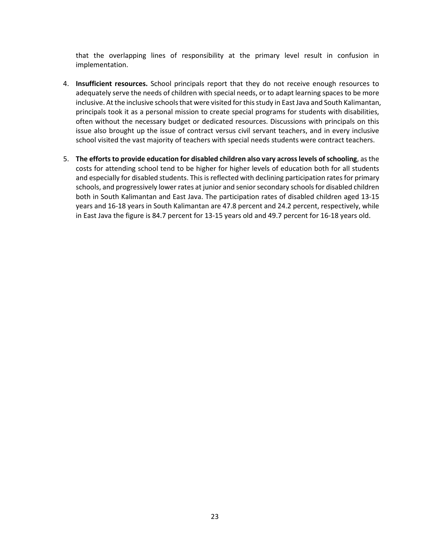that the overlapping lines of responsibility at the primary level result in confusion in implementation.

- 4. **Insufficient resources.** School principals report that they do not receive enough resources to adequately serve the needs of children with special needs, or to adapt learning spaces to be more inclusive. At the inclusive schools that were visited for this study in East Java and South Kalimantan, principals took it as a personal mission to create special programs for students with disabilities, often without the necessary budget or dedicated resources. Discussions with principals on this issue also brought up the issue of contract versus civil servant teachers, and in every inclusive school visited the vast majority of teachers with special needs students were contract teachers.
- 5. **The efforts to provide education for disabled children also vary across levels of schooling**, as the costs for attending school tend to be higher for higher levels of education both for all students and especially for disabled students. This is reflected with declining participation rates for primary schools, and progressively lower rates at junior and senior secondary schools for disabled children both in South Kalimantan and East Java. The participation rates of disabled children aged 13-15 years and 16-18 years in South Kalimantan are 47.8 percent and 24.2 percent, respectively, while in East Java the figure is 84.7 percent for 13-15 years old and 49.7 percent for 16-18 years old.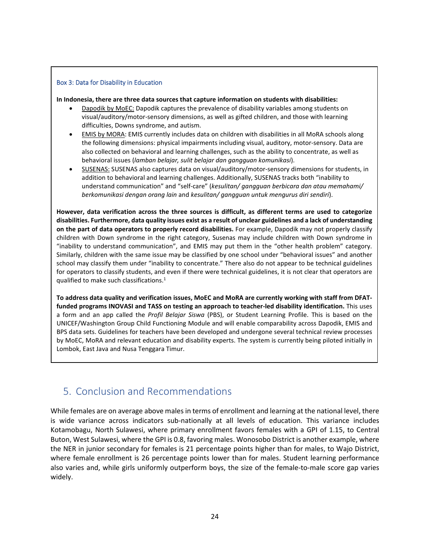#### Box 3: Data for Disability in Education

**In Indonesia, there are three data sources that capture information on students with disabilities:**

- Dapodik by MoEC: Dapodik captures the prevalence of disability variables among students on visual/auditory/motor-sensory dimensions, as well as gifted children, and those with learning difficulties, Downs syndrome, and autism.
- EMIS by MORA: EMIS currently includes data on children with disabilities in all MoRA schools along the following dimensions: physical impairments including visual, auditory, motor-sensory. Data are also collected on behavioral and learning challenges, such as the ability to concentrate, as well as behavioral issues (*lamban belajar, sulit belajar dan gangguan komunikasi*).
- SUSENAS: SUSENAS also captures data on visual/auditory/motor-sensory dimensions for students, in addition to behavioral and learning challenges. Additionally, SUSENAS tracks both "inability to understand communication" and "self-care" (*kesulitan/ gangguan berbicara dan atau memahami/ berkomunikasi dengan orang lain* and *kesulitan/ gangguan untuk mengurus diri sendiri*).

**However, data verification across the three sources is difficult, as different terms are used to categorize disabilities. Furthermore, data quality issues exist as a result of unclear guidelines and a lack of understanding on the part of data operators to properly record disabilities.** For example, Dapodik may not properly classify children with Down syndrome in the right category, Susenas may include children with Down syndrome in "inability to understand communication", and EMIS may put them in the "other health problem" category. Similarly, children with the same issue may be classified by one school under "behavioral issues" and another school may classify them under "inability to concentrate." There also do not appear to be technical guidelines for operators to classify students, and even if there were technical guidelines, it is not clear that operators are qualified to make such classifications.1

**To address data quality and verification issues, MoEC and MoRA are currently working with staff from DFATfunded programs INOVASI and TASS on testing an approach to teacher-led disability identification.** This uses a form and an app called the *Profil Belajar Siswa* (PBS), or Student Learning Profile. This is based on the UNICEF/Washington Group Child Functioning Module and will enable comparability across Dapodik, EMIS and BPS data sets. Guidelines for teachers have been developed and undergone several technical review processes by MoEC, MoRA and relevant education and disability experts. The system is currently being piloted initially in Lombok, East Java and Nusa Tenggara Timur.

# 5. Conclusion and Recommendations

While females are on average above males in terms of enrollment and learning at the national level, there is wide variance across indicators sub-nationally at all levels of education. This variance includes Kotamobagu, North Sulawesi, where primary enrollment favors females with a GPI of 1.15, to Central Buton, West Sulawesi, where the GPI is 0.8, favoring males. Wonosobo District is another example, where the NER in junior secondary for females is 21 percentage points higher than for males, to Wajo District, where female enrollment is 26 percentage points lower than for males. Student learning performance also varies and, while girls uniformly outperform boys, the size of the female-to-male score gap varies widely.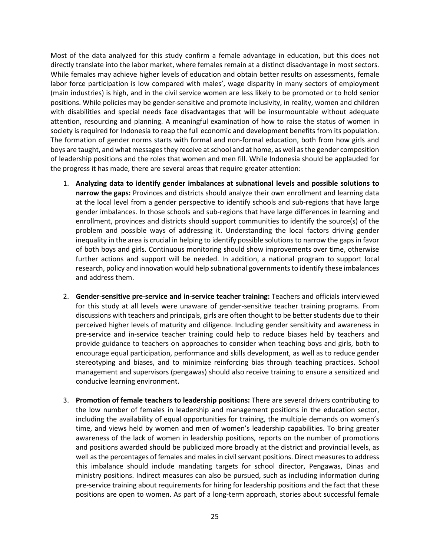Most of the data analyzed for this study confirm a female advantage in education, but this does not directly translate into the labor market, where females remain at a distinct disadvantage in most sectors. While females may achieve higher levels of education and obtain better results on assessments, female labor force participation is low compared with males', wage disparity in many sectors of employment (main industries) is high, and in the civil service women are less likely to be promoted or to hold senior positions. While policies may be gender-sensitive and promote inclusivity, in reality, women and children with disabilities and special needs face disadvantages that will be insurmountable without adequate attention, resourcing and planning. A meaningful examination of how to raise the status of women in society is required for Indonesia to reap the full economic and development benefits from its population. The formation of gender norms starts with formal and non-formal education, both from how girls and boys are taught, and what messages they receive at school and at home, as well as the gender composition of leadership positions and the roles that women and men fill. While Indonesia should be applauded for the progress it has made, there are several areas that require greater attention:

- 1. **Analyzing data to identify gender imbalances at subnational levels and possible solutions to narrow the gaps:** Provinces and districts should analyze their own enrollment and learning data at the local level from a gender perspective to identify schools and sub-regions that have large gender imbalances. In those schools and sub-regions that have large differences in learning and enrollment, provinces and districts should support communities to identify the source(s) of the problem and possible ways of addressing it. Understanding the local factors driving gender inequality in the area is crucial in helping to identify possible solutions to narrow the gaps in favor of both boys and girls. Continuous monitoring should show improvements over time, otherwise further actions and support will be needed. In addition, a national program to support local research, policy and innovation would help subnational governments to identify these imbalances and address them.
- 2. **Gender-sensitive pre-service and in-service teacher training:** Teachers and officials interviewed for this study at all levels were unaware of gender-sensitive teacher training programs. From discussions with teachers and principals, girls are often thought to be better students due to their perceived higher levels of maturity and diligence. Including gender sensitivity and awareness in pre-service and in-service teacher training could help to reduce biases held by teachers and provide guidance to teachers on approaches to consider when teaching boys and girls, both to encourage equal participation, performance and skills development, as well as to reduce gender stereotyping and biases, and to minimize reinforcing bias through teaching practices. School management and supervisors (pengawas) should also receive training to ensure a sensitized and conducive learning environment.
- 3. **Promotion of female teachers to leadership positions:** There are several drivers contributing to the low number of females in leadership and management positions in the education sector, including the availability of equal opportunities for training, the multiple demands on women's time, and views held by women and men of women's leadership capabilities. To bring greater awareness of the lack of women in leadership positions, reports on the number of promotions and positions awarded should be publicized more broadly at the district and provincial levels, as well as the percentages of females and males in civil servant positions. Direct measures to address this imbalance should include mandating targets for school director, Pengawas, Dinas and ministry positions. Indirect measures can also be pursued, such as including information during pre-service training about requirements for hiring for leadership positions and the fact that these positions are open to women. As part of a long-term approach, stories about successful female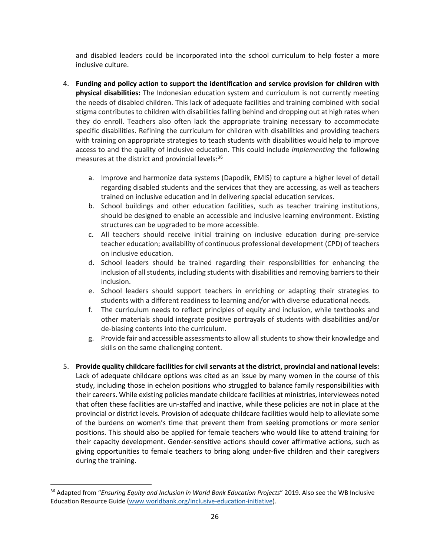and disabled leaders could be incorporated into the school curriculum to help foster a more inclusive culture.

- 4. **Funding and policy action to support the identification and service provision for children with physical disabilities:** The Indonesian education system and curriculum is not currently meeting the needs of disabled children. This lack of adequate facilities and training combined with social stigma contributes to children with disabilities falling behind and dropping out at high rates when they do enroll. Teachers also often lack the appropriate training necessary to accommodate specific disabilities. Refining the curriculum for children with disabilities and providing teachers with training on appropriate strategies to teach students with disabilities would help to improve access to and the quality of inclusive education. This could include *implementing* the following measures at the district and provincial levels: $36$ 
	- a. Improve and harmonize data systems (Dapodik, EMIS) to capture a higher level of detail regarding disabled students and the services that they are accessing, as well as teachers trained on inclusive education and in delivering special education services.
	- b. School buildings and other education facilities, such as teacher training institutions, should be designed to enable an accessible and inclusive learning environment. Existing structures can be upgraded to be more accessible.
	- c. All teachers should receive initial training on inclusive education during pre-service teacher education; availability of continuous professional development (CPD) of teachers on inclusive education.
	- d. School leaders should be trained regarding their responsibilities for enhancing the inclusion of all students, including students with disabilities and removing barriers to their inclusion.
	- e. School leaders should support teachers in enriching or adapting their strategies to students with a different readiness to learning and/or with diverse educational needs.
	- f. The curriculum needs to reflect principles of equity and inclusion, while textbooks and other materials should integrate positive portrayals of students with disabilities and/or de-biasing contents into the curriculum.
	- g. Provide fair and accessible assessmentsto allow all students to show their knowledge and skills on the same challenging content.
- 5. **Provide quality childcare facilities for civil servants at the district, provincial and national levels:** Lack of adequate childcare options was cited as an issue by many women in the course of this study, including those in echelon positions who struggled to balance family responsibilities with their careers. While existing policies mandate childcare facilities at ministries, interviewees noted that often these facilities are un-staffed and inactive, while these policies are not in place at the provincial or district levels. Provision of adequate childcare facilities would help to alleviate some of the burdens on women's time that prevent them from seeking promotions or more senior positions. This should also be applied for female teachers who would like to attend training for their capacity development. Gender-sensitive actions should cover affirmative actions, such as giving opportunities to female teachers to bring along under-five children and their caregivers during the training.

<span id="page-27-0"></span><sup>36</sup> Adapted from "*Ensuring Equity and Inclusion in World Bank Education Projects*" 2019. Also see the WB Inclusive Education Resource Guide [\(www.worldbank.org/inclusive-education-initiative\)](http://www.worldbank.org/inclusive-education-initiative).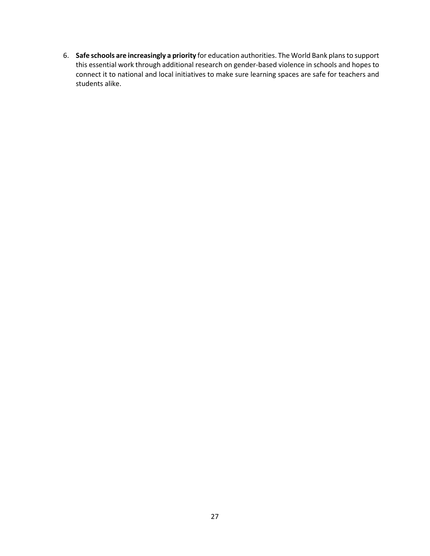6. **Safe schools are increasingly a priority** for education authorities. The World Bank plans to support this essential work through additional research on gender-based violence in schools and hopes to connect it to national and local initiatives to make sure learning spaces are safe for teachers and students alike.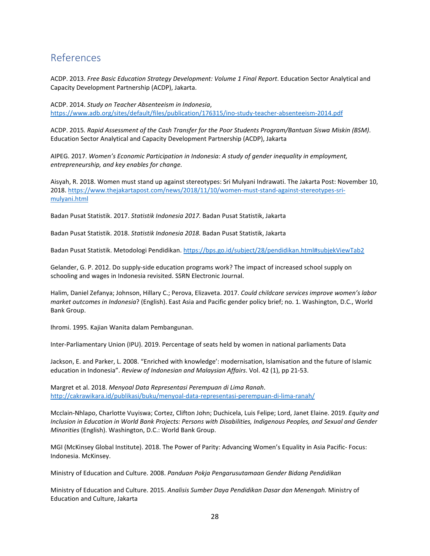# References

ACDP. 2013. *Free Basic Education Strategy Development: Volume 1 Final Report*. Education Sector Analytical and Capacity Development Partnership (ACDP), Jakarta.

ACDP. 2014. *Study on Teacher Absenteeism in Indonesia*, <https://www.adb.org/sites/default/files/publication/176315/ino-study-teacher-absenteeism-2014.pdf>

ACDP. 2015*. Rapid Assessment of the Cash Transfer for the Poor Students Program/Bantuan Siswa Miskin (BSM)*. Education Sector Analytical and Capacity Development Partnership (ACDP), Jakarta

AIPEG. 2017. *Women's Economic Participation in Indonesia: A study of gender inequality in employment, entrepreneurship, and key enables for change.*

Aisyah, R. 2018. Women must stand up against stereotypes: Sri Mulyani Indrawati. The Jakarta Post: November 10, 2018. [https://www.thejakartapost.com/news/2018/11/10/women-must-stand-against-stereotypes-sri](https://www.thejakartapost.com/news/2018/11/10/women-must-stand-against-stereotypes-sri-mulyani.html)[mulyani.html](https://www.thejakartapost.com/news/2018/11/10/women-must-stand-against-stereotypes-sri-mulyani.html)

Badan Pusat Statistik. 2017. *Statistik Indonesia 2017.* Badan Pusat Statistik, Jakarta

Badan Pusat Statistik. 2018. *Statistik Indonesia 2018.* Badan Pusat Statistik, Jakarta

Badan Pusat Statistik. Metodologi Pendidikan.<https://bps.go.id/subject/28/pendidikan.html#subjekViewTab2>

Gelander, G. P. 2012. Do supply-side education programs work? The impact of increased school supply on schooling and wages in Indonesia revisited. SSRN Electronic Journal.

Halim, Daniel Zefanya; Johnson, Hillary C.; Perova, Elizaveta. 2017. *Could childcare services improve women's labor market outcomes in Indonesia*? (English). East Asia and Pacific gender policy brief; no. 1. Washington, D.C., World Bank Group.

Ihromi. 1995. Kajian Wanita dalam Pembangunan.

Inter-Parliamentary Union (IPU). 2019. Percentage of seats held by women in national parliaments Data

Jackson, E. and Parker, L. 2008. "Enriched with knowledge': modernisation, Islamisation and the future of Islamic education in Indonesia". *Review of Indonesian and Malaysian Affairs*. Vol. 42 (1), pp 21-53.

Margret et al. 2018. *Menyoal Data Representasi Perempuan di Lima Ranah*. <http://cakrawikara.id/publikasi/buku/menyoal-data-representasi-perempuan-di-lima-ranah/>

Mcclain-Nhlapo, Charlotte Vuyiswa; Cortez, Clifton John; Duchicela, Luis Felipe; Lord, Janet Elaine. 2019. *Equity and Inclusion in Education in World Bank Projects: Persons with Disabilities, Indigenous Peoples, and Sexual and Gender Minorities* (English). Washington, D.C.: World Bank Group.

MGI (McKinsey Global Institute). 2018. The Power of Parity: Advancing Women's Equality in Asia Pacific- Focus: Indonesia. McKinsey.

Ministry of Education and Culture. 2008. *Panduan Pokja Pengarusutamaan Gender Bidang Pendidikan*

Ministry of Education and Culture. 2015. *Analisis Sumber Daya Pendidikan Dasar dan Menengah.* Ministry of Education and Culture, Jakarta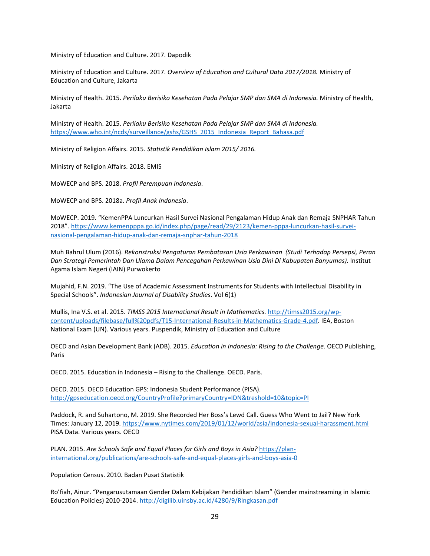Ministry of Education and Culture. 2017. Dapodik

Ministry of Education and Culture. 2017. *Overview of Education and Cultural Data 2017/2018.* Ministry of Education and Culture, Jakarta

Ministry of Health. 2015. *Perilaku Berisiko Kesehatan Pada Pelajar SMP dan SMA di Indonesia.* Ministry of Health, Jakarta

Ministry of Health. 2015. *Perilaku Berisiko Kesehatan Pada Pelajar SMP dan SMA di Indonesia.*  [https://www.who.int/ncds/surveillance/gshs/GSHS\\_2015\\_Indonesia\\_Report\\_Bahasa.pdf](https://www.who.int/ncds/surveillance/gshs/GSHS_2015_Indonesia_Report_Bahasa.pdf)

Ministry of Religion Affairs. 2015. *Statistik Pendidikan Islam 2015/ 2016.*

Ministry of Religion Affairs. 2018. EMIS

MoWECP and BPS. 2018. *Profil Perempuan Indonesia*.

MoWECP and BPS. 2018a. *Profil Anak Indonesia*.

MoWECP. 2019. "KemenPPA Luncurkan Hasil Survei Nasional Pengalaman Hidup Anak dan Remaja SNPHAR Tahun 2018". [https://www.kemenpppa.go.id/index.php/page/read/29/2123/kemen-pppa-luncurkan-hasil-survei](https://www.kemenpppa.go.id/index.php/page/read/29/2123/kemen-pppa-luncurkan-hasil-survei-nasional-pengalaman-hidup-anak-dan-remaja-snphar-tahun-2018)[nasional-pengalaman-hidup-anak-dan-remaja-snphar-tahun-2018](https://www.kemenpppa.go.id/index.php/page/read/29/2123/kemen-pppa-luncurkan-hasil-survei-nasional-pengalaman-hidup-anak-dan-remaja-snphar-tahun-2018)

Muh Bahrul Ulum (2016). *Rekonstruksi Pengaturan Pembatasan Usia Perkawinan (Studi Terhadap Persepsi, Peran Dan Strategi Pemerintah Dan Ulama Dalam Pencegahan Perkawinan Usia Dini Di Kabupaten Banyumas)*. Institut Agama Islam Negeri (IAIN) Purwokerto

Mujahid, F.N. 2019. "The Use of Academic Assessment Instruments for Students with Intellectual Disability in Special Schools". *Indonesian Journal of Disability Studies*. Vol 6(1)

Mullis, Ina V.S. et al. 2015. *TIMSS 2015 International Result in Mathematics.* [http://timss2015.org/wp](http://timss2015.org/wp-content/uploads/filebase/full%20pdfs/T15-International-Results-in-Mathematics-Grade-4.pdf)[content/uploads/filebase/full%20pdfs/T15-International-Results-in-Mathematics-Grade-4.pdf.](http://timss2015.org/wp-content/uploads/filebase/full%20pdfs/T15-International-Results-in-Mathematics-Grade-4.pdf) IEA, Boston National Exam (UN). Various years. Puspendik, Ministry of Education and Culture

OECD and Asian Development Bank (ADB). 2015. *Education in Indonesia: Rising to the Challenge*. OECD Publishing, Paris

OECD. 2015. Education in Indonesia – Rising to the Challenge. OECD. Paris.

OECD. 2015. OECD Education GPS: Indonesia Student Performance (PISA). <http://gpseducation.oecd.org/CountryProfile?primaryCountry=IDN&treshold=10&topic=PI>

Paddock, R. and Suhartono, M. 2019. She Recorded Her Boss's Lewd Call. Guess Who Went to Jail? New York Times: January 12, 2019[. https://www.nytimes.com/2019/01/12/world/asia/indonesia-sexual-harassment.html](https://www.nytimes.com/2019/01/12/world/asia/indonesia-sexual-harassment.html) PISA Data. Various years. OECD

PLAN. 2015. *Are Schools Safe and Equal Places for Girls and Boys in Asia?* [https://plan](https://plan-international.org/publications/are-schools-safe-and-equal-places-girls-and-boys-asia-0)[international.org/publications/are-schools-safe-and-equal-places-girls-and-boys-asia-0](https://plan-international.org/publications/are-schools-safe-and-equal-places-girls-and-boys-asia-0)

Population Census. 2010. Badan Pusat Statistik

Ro'fiah, Ainur. "Pengarusutamaan Gender Dalam Kebijakan Pendidikan Islam" (Gender mainstreaming in Islamic Education Policies) 2010-2014.<http://digilib.uinsby.ac.id/4280/9/Ringkasan.pdf>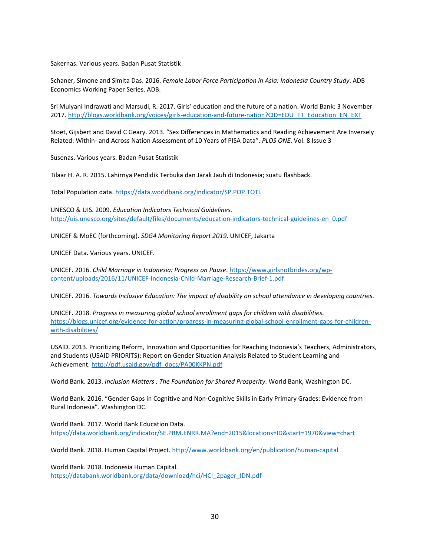Sakernas. Various years. Badan Pusat Statistik

Schaner, Simone and Simita Das. 2016. *Female Labor Force Participation in Asia: Indonesia Country Study*. ADB Economics Working Paper Series. ADB.

Sri Mulyani Indrawati and Marsudi, R. 2017. Girls' education and the future of a nation. World Bank: 3 November 2017. [http://blogs.worldbank.org/voices/girls-education-and-future-nation?CID=EDU\\_TT\\_Education\\_EN\\_EXT](http://blogs.worldbank.org/voices/girls-education-and-future-nation?CID=EDU_TT_Education_EN_EXT)

Stoet, Gijsbert and David C Geary. 2013. "Sex Differences in Mathematics and Reading Achievement Are Inversely Related: Within- and Across Nation Assessment of 10 Years of PISA Data". *PLOS ONE*. Vol. 8 Issue 3

Susenas. Various years. Badan Pusat Statistik

Tilaar H. A. R. 2015. Lahirnya Pendidik Terbuka dan Jarak Jauh di Indonesia; suatu flashback.

Total Population data[. https://data.worldbank.org/indicator/SP.POP.TOTL](https://data.worldbank.org/indicator/SP.POP.TOTL)

UNESCO & UIS. 2009. *Education Indicators Technical Guidelines.*  [http://uis.unesco.org/sites/default/files/documents/education-indicators-technical-guidelines-en\\_0.pdf](http://uis.unesco.org/sites/default/files/documents/education-indicators-technical-guidelines-en_0.pdf)

UNICEF & MoEC (forthcoming). *SDG4 Monitoring Report 2019*. UNICEF, Jakarta

UNICEF Data. Various years. UNICEF.

UNICEF. 2016. *Child Marriage in Indonesia: Progress on Pause*. [https://www.girlsnotbrides.org/wp](https://www.girlsnotbrides.org/wp-content/uploads/2016/11/UNICEF-Indonesia-Child-Marriage-Research-Brief-1.pdf)[content/uploads/2016/11/UNICEF-Indonesia-Child-Marriage-Research-Brief-1.pdf](https://www.girlsnotbrides.org/wp-content/uploads/2016/11/UNICEF-Indonesia-Child-Marriage-Research-Brief-1.pdf)

UNICEF. 2016. *Towards Inclusive Education: The impact of disability on school attendance in developing countries*.

UNICEF. 2018. *Progress in measuring global school enrollment gaps for children with disabilities*. [https://blogs.unicef.org/evidence-for-action/progress-in-measuring-global-school-enrollment-gaps-for-children](https://blogs.unicef.org/evidence-for-action/progress-in-measuring-global-school-enrollment-gaps-for-children-with-disabilities/)[with-disabilities/](https://blogs.unicef.org/evidence-for-action/progress-in-measuring-global-school-enrollment-gaps-for-children-with-disabilities/)

USAID. 2013. Prioritizing Reform, Innovation and Opportunities for Reaching Indonesia's Teachers, Administrators, and Students (USAID PRIORITS): Report on Gender Situation Analysis Related to Student Learning and Achievement[. http://pdf.usaid.gov/pdf\\_docs/PA00KKPN.pdf](http://pdf.usaid.gov/pdf_docs/PA00KKPN.pdf)

World Bank. 2013. *Inclusion Matters : The Foundation for Shared Prosperity*. World Bank, Washington DC.

World Bank. 2016. "Gender Gaps in Cognitive and Non-Cognitive Skills in Early Primary Grades: Evidence from Rural Indonesia". Washington DC.

World Bank. 2017. World Bank Education Data. <https://data.worldbank.org/indicator/SE.PRM.ENRR.MA?end=2015&locations=ID&start=1970&view=chart>

World Bank. 2018. Human Capital Project.<http://www.worldbank.org/en/publication/human-capital>

World Bank. 2018. Indonesia Human Capital. [https://databank.worldbank.org/data/download/hci/HCI\\_2pager\\_IDN.pdf](https://databank.worldbank.org/data/download/hci/HCI_2pager_IDN.pdf)